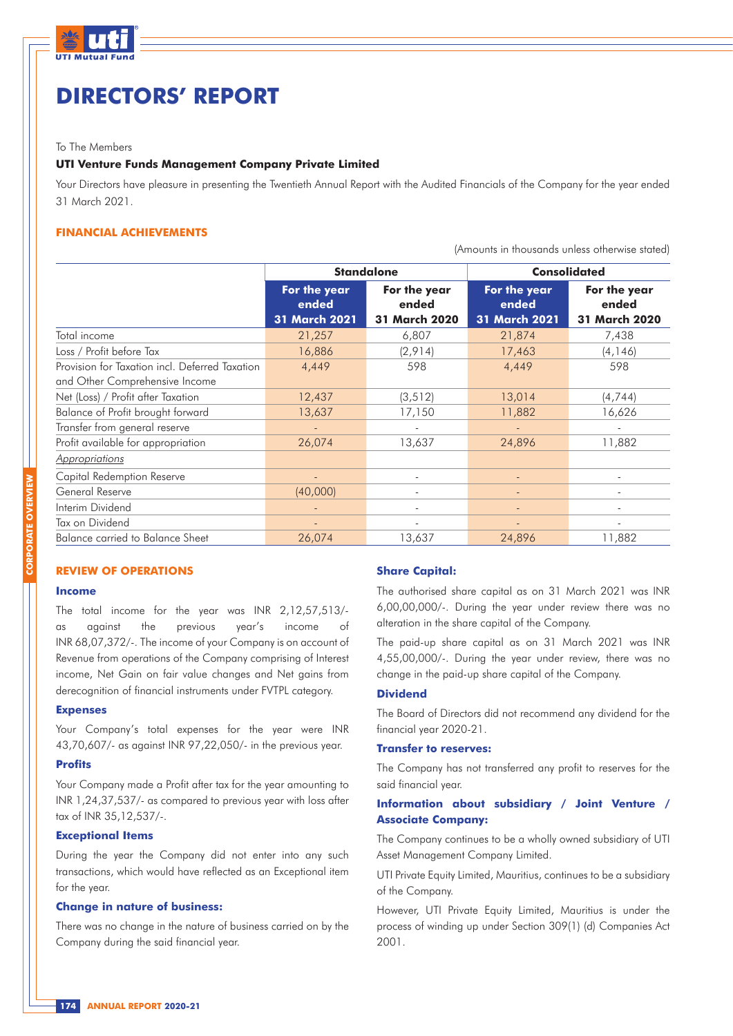

# **DIRECTORS' REPORT**

#### To The Members

#### **UTI Venture Funds Management Company Private Limited**

Your Directors have pleasure in presenting the Twentieth Annual Report with the Audited Financials of the Company for the year ended 31 March 2021.

#### **FINANCIAL ACHIEVEMENTS**

(Amounts in thousands unless otherwise stated)

|                                                                                  |                                               | <b>Standalone</b>                             | <b>Consolidated</b>                           |                                               |  |
|----------------------------------------------------------------------------------|-----------------------------------------------|-----------------------------------------------|-----------------------------------------------|-----------------------------------------------|--|
|                                                                                  | For the year<br>ended<br><b>31 March 2021</b> | For the year<br>ended<br><b>31 March 2020</b> | For the year<br>ended<br><b>31 March 2021</b> | For the year<br>ended<br><b>31 March 2020</b> |  |
| Total income                                                                     | 21,257                                        | 6,807                                         | 21,874                                        | 7,438                                         |  |
| Loss / Profit before Tax                                                         | 16,886                                        | (2,914)                                       | 17,463                                        | (4, 146)                                      |  |
| Provision for Taxation incl. Deferred Taxation<br>and Other Comprehensive Income | 4,449                                         | 598                                           | 4,449                                         | 598                                           |  |
| Net (Loss) / Profit after Taxation                                               | 12,437                                        | (3, 512)                                      | 13,014                                        | (4, 744)                                      |  |
| Balance of Profit brought forward                                                | 13,637                                        | 17,150                                        | 11,882                                        | 16,626                                        |  |
| Transfer from general reserve                                                    |                                               | $\overline{\phantom{a}}$                      |                                               |                                               |  |
| Profit available for appropriation                                               | 26,074                                        | 13,637                                        | 24,896                                        | 11,882                                        |  |
| Appropriations                                                                   |                                               |                                               |                                               |                                               |  |
| Capital Redemption Reserve                                                       |                                               | $\overline{\phantom{a}}$                      | $\qquad \qquad \blacksquare$                  |                                               |  |
| General Reserve                                                                  | (40,000)                                      | $\overline{\phantom{a}}$                      | $\qquad \qquad \blacksquare$                  |                                               |  |
| Interim Dividend                                                                 |                                               | $\blacksquare$                                | $\overline{\phantom{a}}$                      | ٠                                             |  |
| Tax on Dividend                                                                  |                                               | $\overline{\phantom{a}}$                      |                                               |                                               |  |
| Balance carried to Balance Sheet                                                 | 26,074                                        | 13,637                                        | 24,896                                        | 11,882                                        |  |

#### **REVIEW OF OPERATIONS**

#### **Income**

The total income for the year was INR 2,12,57,513/ as against the previous year's income of INR 68,07,372/-. The income of your Company is on account of Revenue from operations of the Company comprising of Interest income, Net Gain on fair value changes and Net gains from derecognition of financial instruments under FVTPL category.

#### **Expenses**

Your Company's total expenses for the year were INR 43,70,607/- as against INR 97,22,050/- in the previous year.

#### **Profits**

Your Company made a Profit after tax for the year amounting to INR 1,24,37,537/- as compared to previous year with loss after tax of INR 35,12,537/-.

#### **Exceptional Items**

During the year the Company did not enter into any such transactions, which would have reflected as an Exceptional item for the year.

#### **Change in nature of business:**

There was no change in the nature of business carried on by the Company during the said financial year.

#### **Share Capital:**

The authorised share capital as on 31 March 2021 was INR 6,00,00,000/-. During the year under review there was no alteration in the share capital of the Company.

The paid-up share capital as on 31 March 2021 was INR 4,55,00,000/-. During the year under review, there was no change in the paid-up share capital of the Company.

### **Dividend**

The Board of Directors did not recommend any dividend for the financial year 2020-21.

#### **Transfer to reserves:**

The Company has not transferred any profit to reserves for the said financial year.

### **Information about subsidiary / Joint Venture / Associate Company:**

The Company continues to be a wholly owned subsidiary of UTI Asset Management Company Limited.

UTI Private Equity Limited, Mauritius, continues to be a subsidiary of the Company.

However, UTI Private Equity Limited, Mauritius is under the process of winding up under Section 309(1) (d) Companies Act 2001.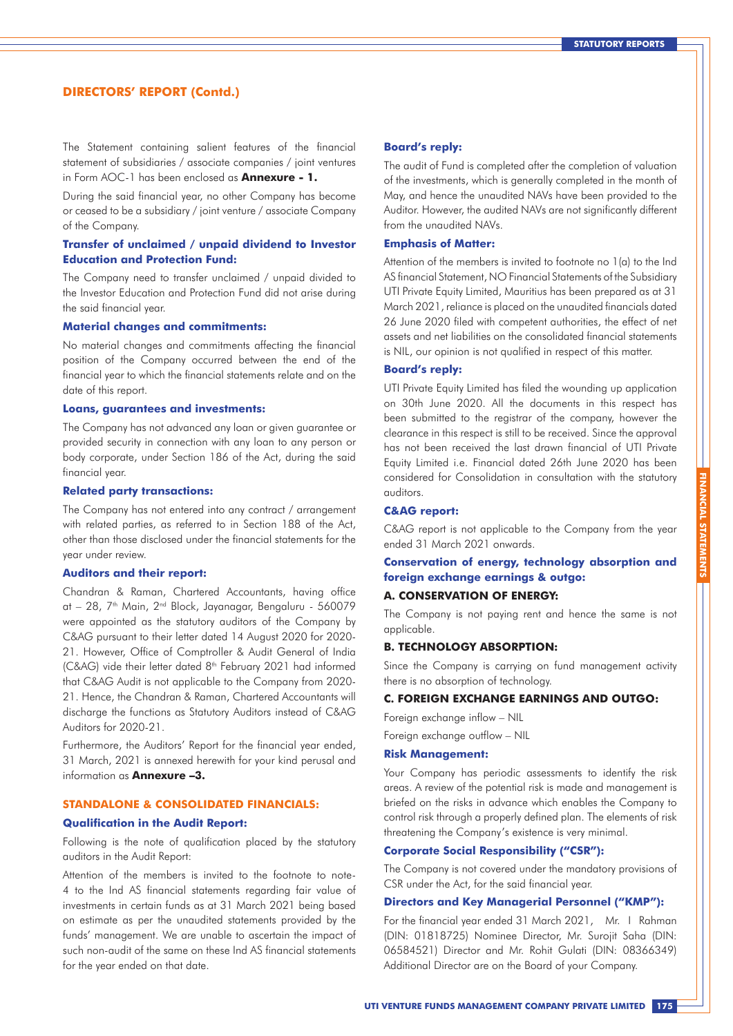# **DIRECTORS' REPORT (Contd.)**

The Statement containing salient features of the financial statement of subsidiaries / associate companies / joint ventures in Form AOC-1 has been enclosed as **Annexure - 1.** 

During the said financial year, no other Company has become or ceased to be a subsidiary / joint venture / associate Company of the Company.

#### **Transfer of unclaimed / unpaid dividend to Investor Education and Protection Fund:**

The Company need to transfer unclaimed / unpaid divided to the Investor Education and Protection Fund did not arise during the said financial year.

#### **Material changes and commitments:**

No material changes and commitments affecting the financial position of the Company occurred between the end of the financial year to which the financial statements relate and on the date of this report.

#### **Loans, guarantees and investments:**

The Company has not advanced any loan or given guarantee or provided security in connection with any loan to any person or body corporate, under Section 186 of the Act, during the said financial year.

#### **Related party transactions:**

The Company has not entered into any contract / arrangement with related parties, as referred to in Section 188 of the Act, other than those disclosed under the financial statements for the year under review.

#### **Auditors and their report:**

Chandran & Raman, Chartered Accountants, having office at - 28, 7<sup>th</sup> Main, 2<sup>nd</sup> Block, Jayanagar, Bengaluru - 560079 were appointed as the statutory auditors of the Company by C&AG pursuant to their letter dated 14 August 2020 for 2020- 21. However, Office of Comptroller & Audit General of India (C&AG) vide their letter dated 8<sup>th</sup> February 2021 had informed that C&AG Audit is not applicable to the Company from 2020- 21. Hence, the Chandran & Raman, Chartered Accountants will discharge the functions as Statutory Auditors instead of C&AG Auditors for 2020-21.

Furthermore, the Auditors' Report for the financial year ended, 31 March, 2021 is annexed herewith for your kind perusal and information as **Annexure –3.**

#### **STANDALONE & CONSOLIDATED FINANCIALS:**

#### **Qualification in the Audit Report:**

Following is the note of qualification placed by the statutory auditors in the Audit Report:

Attention of the members is invited to the footnote to note-4 to the Ind AS financial statements regarding fair value of investments in certain funds as at 31 March 2021 being based on estimate as per the unaudited statements provided by the funds' management. We are unable to ascertain the impact of such non-audit of the same on these Ind AS financial statements for the year ended on that date.

#### **Board's reply:**

The audit of Fund is completed after the completion of valuation of the investments, which is generally completed in the month of May, and hence the unaudited NAVs have been provided to the Auditor. However, the audited NAVs are not significantly different from the unaudited NAVs.

#### **Emphasis of Matter:**

Attention of the members is invited to footnote no 1(a) to the Ind AS financial Statement, NO Financial Statements of the Subsidiary UTI Private Equity Limited, Mauritius has been prepared as at 31 March 2021, reliance is placed on the unaudited financials dated 26 June 2020 filed with competent authorities, the effect of net assets and net liabilities on the consolidated financial statements is NIL, our opinion is not qualified in respect of this matter.

#### **Board's reply:**

UTI Private Equity Limited has filed the wounding up application on 30th June 2020. All the documents in this respect has been submitted to the registrar of the company, however the clearance in this respect is still to be received. Since the approval has not been received the last drawn financial of UTI Private Equity Limited i.e. Financial dated 26th June 2020 has been considered for Consolidation in consultation with the statutory auditors.

#### **C&AG report:**

C&AG report is not applicable to the Company from the year ended 31 March 2021 onwards.

## **Conservation of energy, technology absorption and foreign exchange earnings & outgo:**

# **A. CONSERVATION OF ENERGY:**

The Company is not paying rent and hence the same is not applicable.

#### **B. TECHNOLOGY ABSORPTION:**

Since the Company is carrying on fund management activity there is no absorption of technology.

#### **C. FOREIGN EXCHANGE EARNINGS AND OUTGO:**

Foreign exchange inflow – NIL

Foreign exchange outflow – NIL

#### **Risk Management:**

Your Company has periodic assessments to identify the risk areas. A review of the potential risk is made and management is briefed on the risks in advance which enables the Company to control risk through a properly defined plan. The elements of risk threatening the Company's existence is very minimal.

#### **Corporate Social Responsibility ("CSR"):**

The Company is not covered under the mandatory provisions of CSR under the Act, for the said financial year.

#### **Directors and Key Managerial Personnel ("KMP"):**

For the financial year ended 31 March 2021, Mr. I Rahman (DIN: 01818725) Nominee Director, Mr. Surojit Saha (DIN: 06584521) Director and Mr. Rohit Gulati (DIN: 08366349) Additional Director are on the Board of your Company.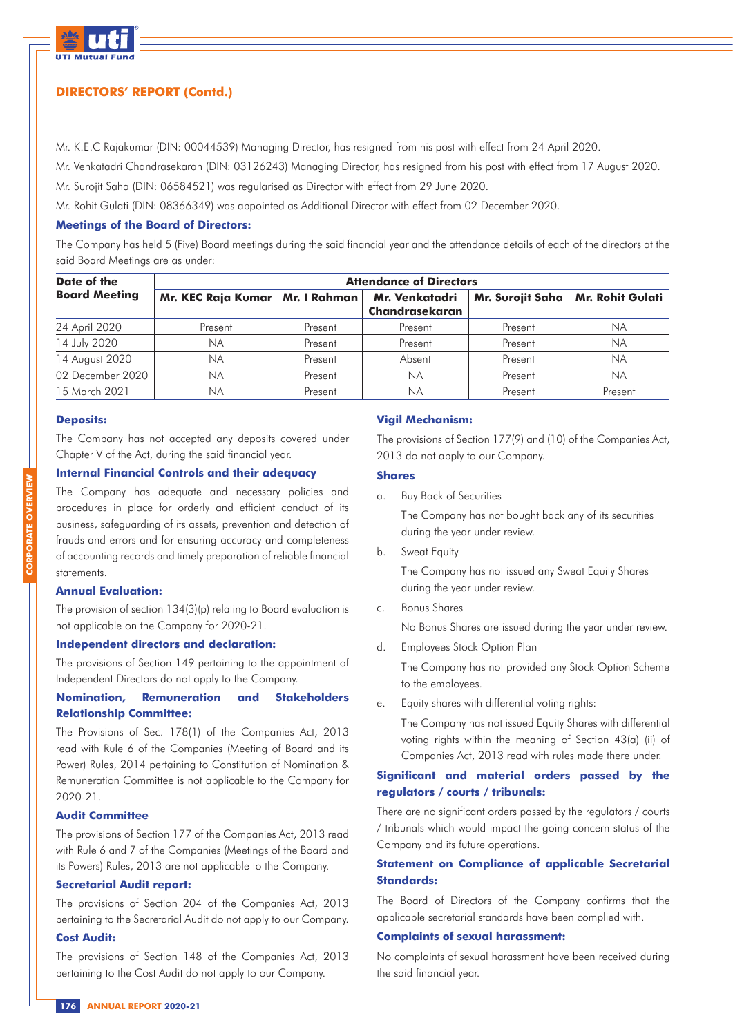

# **DIRECTORS' REPORT (Contd.)**

Mr. K.E.C Rajakumar (DIN: 00044539) Managing Director, has resigned from his post with effect from 24 April 2020.

Mr. Venkatadri Chandrasekaran (DIN: 03126243) Managing Director, has resigned from his post with effect from 17 August 2020.

Mr. Surojit Saha (DIN: 06584521) was regularised as Director with effect from 29 June 2020.

Mr. Rohit Gulati (DIN: 08366349) was appointed as Additional Director with effect from 02 December 2020.

#### **Meetings of the Board of Directors:**

The Company has held 5 (Five) Board meetings during the said financial year and the attendance details of each of the directors at the said Board Meetings are as under:

| Date of the          | <b>Attendance of Directors</b>    |         |                                         |                  |                         |  |  |  |
|----------------------|-----------------------------------|---------|-----------------------------------------|------------------|-------------------------|--|--|--|
| <b>Board Meeting</b> | Mr. KEC Raja Kumar   Mr. I Rahman |         | <b>Mr. Venkatadri</b><br>Chandrasekaran | Mr. Surojit Saha | <b>Mr. Rohit Gulati</b> |  |  |  |
| 24 April 2020        | Present                           | Present | Present                                 | Present          | NA                      |  |  |  |
| 14 July 2020         | N.                                | Present | Present                                 | Present          | NА                      |  |  |  |
| 14 August 2020       | ΝA                                | Present | Absent                                  | Present          | NА                      |  |  |  |
| 02 December 2020     | N.                                | Present | <b>NA</b>                               | Present          | <b>NA</b>               |  |  |  |
| 15 March 2021        | ΝA                                | Present | <b>NA</b>                               | Present          | Present                 |  |  |  |

#### **Deposits:**

The Company has not accepted any deposits covered under Chapter V of the Act, during the said financial year.

#### **Internal Financial Controls and their adequacy**

The Company has adequate and necessary policies and procedures in place for orderly and efficient conduct of its business, safeguarding of its assets, prevention and detection of frauds and errors and for ensuring accuracy and completeness of accounting records and timely preparation of reliable financial statements.

## **Annual Evaluation:**

The provision of section 134(3)(p) relating to Board evaluation is not applicable on the Company for 2020-21.

#### **Independent directors and declaration:**

The provisions of Section 149 pertaining to the appointment of Independent Directors do not apply to the Company.

# **Nomination, Remuneration and Stakeholders Relationship Committee:**

The Provisions of Sec. 178(1) of the Companies Act, 2013 read with Rule 6 of the Companies (Meeting of Board and its Power) Rules, 2014 pertaining to Constitution of Nomination & Remuneration Committee is not applicable to the Company for 2020-21.

#### **Audit Committee**

The provisions of Section 177 of the Companies Act, 2013 read with Rule 6 and 7 of the Companies (Meetings of the Board and its Powers) Rules, 2013 are not applicable to the Company.

#### **Secretarial Audit report:**

The provisions of Section 204 of the Companies Act, 2013 pertaining to the Secretarial Audit do not apply to our Company.

#### **Cost Audit:**

The provisions of Section 148 of the Companies Act, 2013 pertaining to the Cost Audit do not apply to our Company.

#### **Vigil Mechanism:**

The provisions of Section 177(9) and (10) of the Companies Act, 2013 do not apply to our Company.

### **Shares**

a. Buy Back of Securities

The Company has not bought back any of its securities during the year under review.

b. Sweat Equity

The Company has not issued any Sweat Equity Shares during the year under review.

c. Bonus Shares

No Bonus Shares are issued during the year under review.

d. Employees Stock Option Plan

The Company has not provided any Stock Option Scheme to the employees.

e. Equity shares with differential voting rights:

The Company has not issued Equity Shares with differential voting rights within the meaning of Section 43(a) (ii) of Companies Act, 2013 read with rules made there under.

# **Significant and material orders passed by the regulators / courts / tribunals:**

There are no significant orders passed by the regulators / courts / tribunals which would impact the going concern status of the Company and its future operations.

## **Statement on Compliance of applicable Secretarial Standards:**

The Board of Directors of the Company confirms that the applicable secretarial standards have been complied with.

#### **Complaints of sexual harassment:**

No complaints of sexual harassment have been received during the said financial year.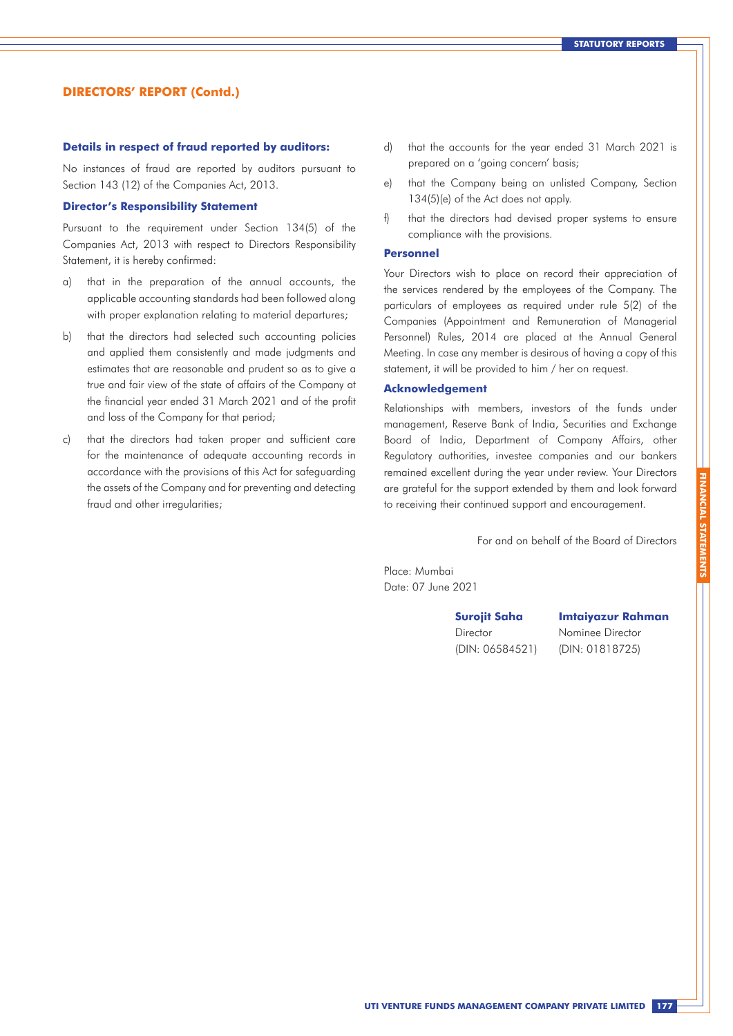# **DIRECTORS' REPORT (Contd.)**

#### **Details in respect of fraud reported by auditors:**

No instances of fraud are reported by auditors pursuant to Section 143 (12) of the Companies Act, 2013.

#### **Director's Responsibility Statement**

Pursuant to the requirement under Section 134(5) of the Companies Act, 2013 with respect to Directors Responsibility Statement, it is hereby confirmed:

- a) that in the preparation of the annual accounts, the applicable accounting standards had been followed along with proper explanation relating to material departures;
- b) that the directors had selected such accounting policies and applied them consistently and made judgments and estimates that are reasonable and prudent so as to give a true and fair view of the state of affairs of the Company at the financial year ended 31 March 2021 and of the profit and loss of the Company for that period;
- c) that the directors had taken proper and sufficient care for the maintenance of adequate accounting records in accordance with the provisions of this Act for safeguarding the assets of the Company and for preventing and detecting fraud and other irregularities;
- d) that the accounts for the year ended 31 March 2021 is prepared on a 'going concern' basis;
- e) that the Company being an unlisted Company, Section 134(5)(e) of the Act does not apply.
- f) that the directors had devised proper systems to ensure compliance with the provisions.

#### **Personnel**

Your Directors wish to place on record their appreciation of the services rendered by the employees of the Company. The particulars of employees as required under rule 5(2) of the Companies (Appointment and Remuneration of Managerial Personnel) Rules, 2014 are placed at the Annual General Meeting. In case any member is desirous of having a copy of this statement, it will be provided to him / her on request.

#### **Acknowledgement**

Relationships with members, investors of the funds under management, Reserve Bank of India, Securities and Exchange Board of India, Department of Company Affairs, other Regulatory authorities, investee companies and our bankers remained excellent during the year under review. Your Directors are grateful for the support extended by them and look forward to receiving their continued support and encouragement.

For and on behalf of the Board of Directors

Place: Mumbai Date: 07 June 2021

Director Nominee Director

**Surojit Saha Imtaiyazur Rahman** 

(DIN: 06584521) (DIN: 01818725)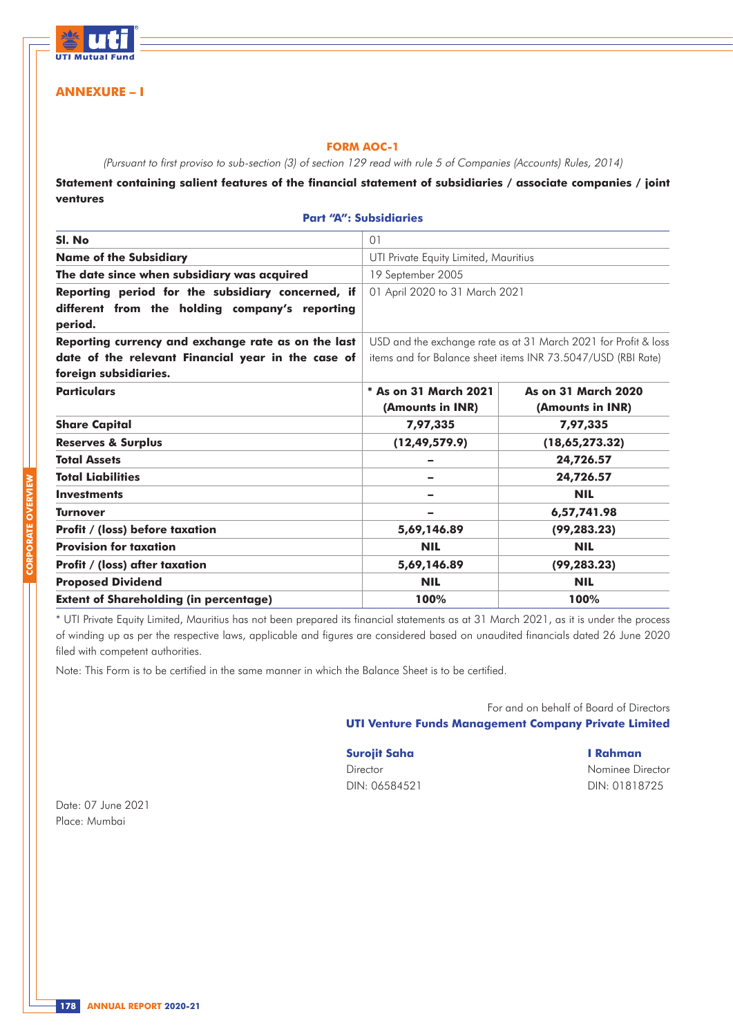

# **ANNEXURE – I**

# **FORM AOC-1**

(Pursuant to first proviso to sub-section (3) of section 129 read with rule 5 of Companies (Accounts) Rules, 2014)

**Statement containing salient features of the financial statement of subsidiaries / associate companies / joint ventures**

|  | <b>Part "A": Subsidiaries</b> |
|--|-------------------------------|
|  |                               |

| Sl. No                                                    | 01                                                           |                                                                 |  |  |  |
|-----------------------------------------------------------|--------------------------------------------------------------|-----------------------------------------------------------------|--|--|--|
| <b>Name of the Subsidiary</b>                             | UTI Private Equity Limited, Mauritius                        |                                                                 |  |  |  |
| The date since when subsidiary was acquired               | 19 September 2005                                            |                                                                 |  |  |  |
| Reporting period for the subsidiary concerned, if         | 01 April 2020 to 31 March 2021                               |                                                                 |  |  |  |
| different from the holding company's reporting<br>period. |                                                              |                                                                 |  |  |  |
| Reporting currency and exchange rate as on the last       |                                                              | USD and the exchange rate as at 31 March 2021 for Profit & loss |  |  |  |
| date of the relevant Financial year in the case of        | items and for Balance sheet items INR 73.5047/USD (RBI Rate) |                                                                 |  |  |  |
| foreign subsidiaries.                                     |                                                              |                                                                 |  |  |  |
| <b>Particulars</b>                                        | * As on 31 March 2021<br>(Amounts in INR)                    | As on 31 March 2020<br>(Amounts in INR)                         |  |  |  |
| <b>Share Capital</b>                                      | 7,97,335                                                     | 7,97,335                                                        |  |  |  |
| <b>Reserves &amp; Surplus</b>                             | (12, 49, 579.9)                                              | (18,65,273.32)                                                  |  |  |  |
| <b>Total Assets</b>                                       |                                                              | 24,726.57                                                       |  |  |  |
| <b>Total Liabilities</b>                                  |                                                              | 24,726.57                                                       |  |  |  |
| <b>Investments</b>                                        | -                                                            | <b>NIL</b>                                                      |  |  |  |
| <b>Turnover</b>                                           |                                                              | 6,57,741.98                                                     |  |  |  |
| Profit / (loss) before taxation                           | 5,69,146.89                                                  | (99, 283.23)                                                    |  |  |  |
| <b>Provision for taxation</b>                             | <b>NIL</b>                                                   | <b>NIL</b>                                                      |  |  |  |
| Profit / (loss) after taxation                            | 5,69,146.89                                                  | (99, 283.23)                                                    |  |  |  |
| <b>Proposed Dividend</b>                                  | <b>NIL</b>                                                   | <b>NIL</b>                                                      |  |  |  |
| <b>Extent of Shareholding (in percentage)</b>             | 100%                                                         | 100%                                                            |  |  |  |

\* UTI Private Equity Limited, Mauritius has not been prepared its financial statements as at 31 March 2021, as it is under the process of winding up as per the respective laws, applicable and figures are considered based on unaudited financials dated 26 June 2020 filed with competent authorities.

Note: This Form is to be certified in the same manner in which the Balance Sheet is to be certified.

For and on behalf of Board of Directors **UTI Venture Funds Management Company Private Limited**

#### **Surojit Saha I Rahman**

Director Nominee Director

DIN: 06584521 DIN: 01818725

Date: 07 June 2021 Place: Mumbai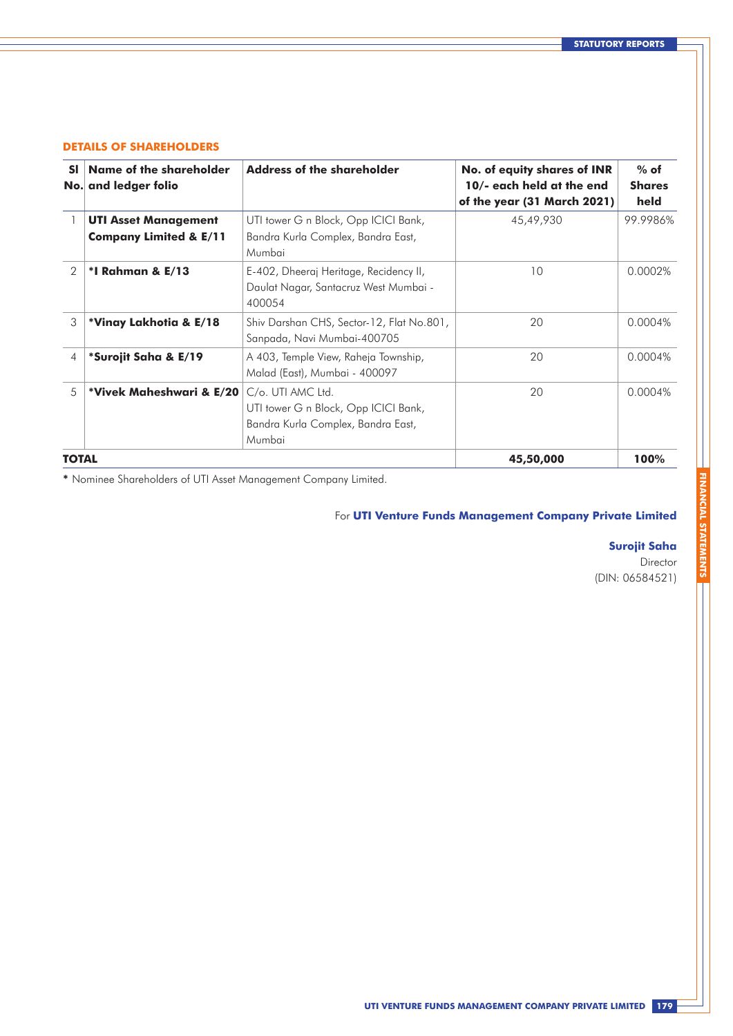# **DETAILS OF SHAREHOLDERS**

| <b>SI</b>    | Name of the shareholder<br>No. and ledger folio                  | <b>Address of the shareholder</b>                                                                         | No. of equity shares of INR<br>10/- each held at the end<br>of the year (31 March 2021) | $%$ of<br><b>Shares</b><br>held |
|--------------|------------------------------------------------------------------|-----------------------------------------------------------------------------------------------------------|-----------------------------------------------------------------------------------------|---------------------------------|
|              | <b>UTI Asset Management</b><br><b>Company Limited &amp; E/11</b> | UTI tower G n Block, Opp ICICI Bank,<br>Bandra Kurla Complex, Bandra East,<br>Mumbai                      | 45,49,930                                                                               | 99.9986%                        |
| 2            | *I Rahman & E/13                                                 | E-402, Dheeraj Heritage, Recidency II,<br>Daulat Nagar, Santacruz West Mumbai -<br>400054                 | 10                                                                                      | 0.0002%                         |
| 3            | *Vinay Lakhotia & E/18                                           | Shiv Darshan CHS, Sector-12, Flat No.801,<br>Sanpada, Navi Mumbai-400705                                  | 20                                                                                      | 0.0004%                         |
| 4            | *Surojit Saha & E/19                                             | A 403, Temple View, Raheja Township,<br>Malad (East), Mumbai - 400097                                     | 20                                                                                      | 0.0004%                         |
| 5            | *Vivek Maheshwari & E/20                                         | C/o. UTI AMC Ltd.<br>UTI tower G n Block, Opp ICICI Bank,<br>Bandra Kurla Complex, Bandra East,<br>Mumbai | 20                                                                                      | 0.0004%                         |
| <b>TOTAL</b> |                                                                  |                                                                                                           | 45,50,000                                                                               | 100%                            |

**\*** Nominee Shareholders of UTI Asset Management Company Limited.

For **UTI Venture Funds Management Company Private Limited**

**Surojit Saha** 

Director (DIN: 06584521)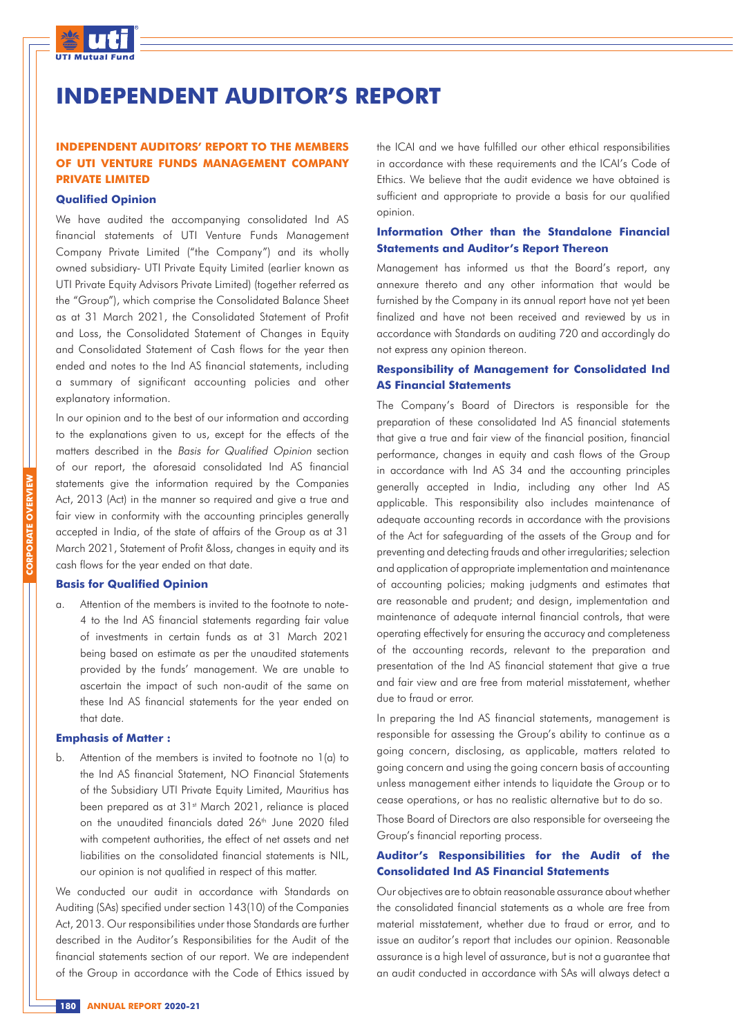

# **INDEPENDENT AUDITOR'S REPORT**

# **INDEPENDENT AUDITORS' REPORT TO THE MEMBERS OF UTI VENTURE FUNDS MANAGEMENT COMPANY PRIVATE LIMITED**

#### **Qualified Opinion**

We have audited the accompanying consolidated Ind AS financial statements of UTI Venture Funds Management Company Private Limited ("the Company") and its wholly owned subsidiary- UTI Private Equity Limited (earlier known as UTI Private Equity Advisors Private Limited) (together referred as the "Group"), which comprise the Consolidated Balance Sheet as at 31 March 2021, the Consolidated Statement of Profit and Loss, the Consolidated Statement of Changes in Equity and Consolidated Statement of Cash flows for the year then ended and notes to the Ind AS financial statements, including a summary of significant accounting policies and other explanatory information.

In our opinion and to the best of our information and according to the explanations given to us, except for the effects of the matters described in the Basis for Qualified Opinion section of our report, the aforesaid consolidated Ind AS financial statements give the information required by the Companies Act, 2013 (Act) in the manner so required and give a true and fair view in conformity with the accounting principles generally accepted in India, of the state of affairs of the Group as at 31 March 2021, Statement of Profit &loss, changes in equity and its cash flows for the year ended on that date.

#### **Basis for Qualified Opinion**

Attention of the members is invited to the footnote to note-4 to the Ind AS financial statements regarding fair value of investments in certain funds as at 31 March 2021 being based on estimate as per the unaudited statements provided by the funds' management. We are unable to ascertain the impact of such non-audit of the same on these Ind AS financial statements for the year ended on that date.

#### **Emphasis of Matter :**

b. Attention of the members is invited to footnote no  $1(a)$  to the Ind AS financial Statement, NO Financial Statements of the Subsidiary UTI Private Equity Limited, Mauritius has been prepared as at 31<sup>st</sup> March 2021, reliance is placed on the unaudited financials dated 26<sup>th</sup> June 2020 filed with competent authorities, the effect of net assets and net liabilities on the consolidated financial statements is NIL, our opinion is not qualified in respect of this matter.

We conducted our audit in accordance with Standards on Auditing (SAs) specified under section 143(10) of the Companies Act, 2013. Our responsibilities under those Standards are further described in the Auditor's Responsibilities for the Audit of the financial statements section of our report. We are independent of the Group in accordance with the Code of Ethics issued by

the ICAI and we have fulfilled our other ethical responsibilities in accordance with these requirements and the ICAI's Code of Ethics. We believe that the audit evidence we have obtained is sufficient and appropriate to provide a basis for our qualified opinion.

#### **Information Other than the Standalone Financial Statements and Auditor's Report Thereon**

Management has informed us that the Board's report, any annexure thereto and any other information that would be furnished by the Company in its annual report have not yet been finalized and have not been received and reviewed by us in accordance with Standards on auditing 720 and accordingly do not express any opinion thereon.

# **Responsibility of Management for Consolidated Ind AS Financial Statements**

The Company's Board of Directors is responsible for the preparation of these consolidated Ind AS financial statements that give a true and fair view of the financial position, financial performance, changes in equity and cash flows of the Group in accordance with Ind AS 34 and the accounting principles generally accepted in India, including any other Ind AS applicable. This responsibility also includes maintenance of adequate accounting records in accordance with the provisions of the Act for safeguarding of the assets of the Group and for preventing and detecting frauds and other irregularities; selection and application of appropriate implementation and maintenance of accounting policies; making judgments and estimates that are reasonable and prudent; and design, implementation and maintenance of adequate internal financial controls, that were operating effectively for ensuring the accuracy and completeness of the accounting records, relevant to the preparation and presentation of the Ind AS financial statement that give a true and fair view and are free from material misstatement, whether due to fraud or error.

In preparing the Ind AS financial statements, management is responsible for assessing the Group's ability to continue as a going concern, disclosing, as applicable, matters related to going concern and using the going concern basis of accounting unless management either intends to liquidate the Group or to cease operations, or has no realistic alternative but to do so.

Those Board of Directors are also responsible for overseeing the Group's financial reporting process.

## **Auditor's Responsibilities for the Audit of the Consolidated Ind AS Financial Statements**

Our objectives are to obtain reasonable assurance about whether the consolidated financial statements as a whole are free from material misstatement, whether due to fraud or error, and to issue an auditor's report that includes our opinion. Reasonable assurance is a high level of assurance, but is not a guarantee that an audit conducted in accordance with SAs will always detect a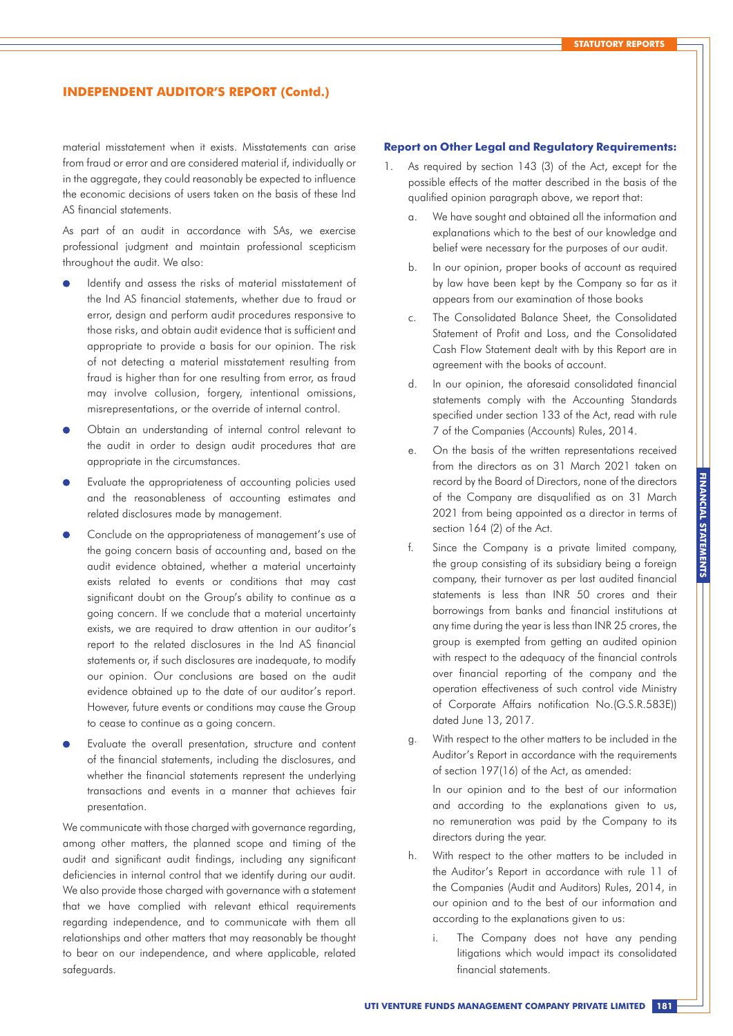material misstatement when it exists. Misstatements can arise from fraud or error and are considered material if, individually or in the aggregate, they could reasonably be expected to influence the economic decisions of users taken on the basis of these Ind AS financial statements.

As part of an audit in accordance with SAs, we exercise professional judgment and maintain professional scepticism throughout the audit. We also:

- Identify and assess the risks of material misstatement of the Ind AS financial statements, whether due to fraud or error, design and perform audit procedures responsive to those risks, and obtain audit evidence that is sufficient and appropriate to provide a basis for our opinion. The risk of not detecting a material misstatement resulting from fraud is higher than for one resulting from error, as fraud may involve collusion, forgery, intentional omissions, misrepresentations, or the override of internal control.
- Obtain an understanding of internal control relevant to the audit in order to design audit procedures that are appropriate in the circumstances.
- Evaluate the appropriateness of accounting policies used and the reasonableness of accounting estimates and related disclosures made by management.
- Conclude on the appropriateness of management's use of the going concern basis of accounting and, based on the audit evidence obtained, whether a material uncertainty exists related to events or conditions that may cast significant doubt on the Group's ability to continue as a going concern. If we conclude that a material uncertainty exists, we are required to draw attention in our auditor's report to the related disclosures in the Ind AS financial statements or, if such disclosures are inadequate, to modify our opinion. Our conclusions are based on the audit evidence obtained up to the date of our auditor's report. However, future events or conditions may cause the Group to cease to continue as a going concern.
- Evaluate the overall presentation, structure and content of the financial statements, including the disclosures, and whether the financial statements represent the underlying transactions and events in a manner that achieves fair presentation.

We communicate with those charged with governance regarding, among other matters, the planned scope and timing of the audit and significant audit findings, including any significant deficiencies in internal control that we identify during our audit. We also provide those charged with governance with a statement that we have complied with relevant ethical requirements regarding independence, and to communicate with them all relationships and other matters that may reasonably be thought to bear on our independence, and where applicable, related safeguards.

#### **Report on Other Legal and Regulatory Requirements:**

- As required by section 143 (3) of the Act, except for the possible effects of the matter described in the basis of the qualified opinion paragraph above, we report that:
	- a. We have sought and obtained all the information and explanations which to the best of our knowledge and belief were necessary for the purposes of our audit.
	- b. In our opinion, proper books of account as required by law have been kept by the Company so far as it appears from our examination of those books
	- c. The Consolidated Balance Sheet, the Consolidated Statement of Profit and Loss, and the Consolidated Cash Flow Statement dealt with by this Report are in agreement with the books of account.
	- d. In our opinion, the aforesaid consolidated financial statements comply with the Accounting Standards specified under section 133 of the Act, read with rule 7 of the Companies (Accounts) Rules, 2014.
	- e. On the basis of the written representations received from the directors as on 31 March 2021 taken on record by the Board of Directors, none of the directors of the Company are disqualified as on 31 March 2021 from being appointed as a director in terms of section 164 (2) of the Act.
	- f. Since the Company is a private limited company, the group consisting of its subsidiary being a foreign company, their turnover as per last audited financial statements is less than INR 50 crores and their borrowings from banks and financial institutions at any time during the year is less than INR 25 crores, the group is exempted from getting an audited opinion with respect to the adequacy of the financial controls over financial reporting of the company and the operation effectiveness of such control vide Ministry of Corporate Affairs notification No.(G.S.R.583E)) dated June 13, 2017.
	- g. With respect to the other matters to be included in the Auditor's Report in accordance with the requirements of section 197(16) of the Act, as amended:

In our opinion and to the best of our information and according to the explanations given to us, no remuneration was paid by the Company to its directors during the year.

- h. With respect to the other matters to be included in the Auditor's Report in accordance with rule 11 of the Companies (Audit and Auditors) Rules, 2014, in our opinion and to the best of our information and according to the explanations given to us:
	- i. The Company does not have any pending litigations which would impact its consolidated financial statements.

**FINANCIAL STATEMENTS**

**FINANCIAL STATEMENTS**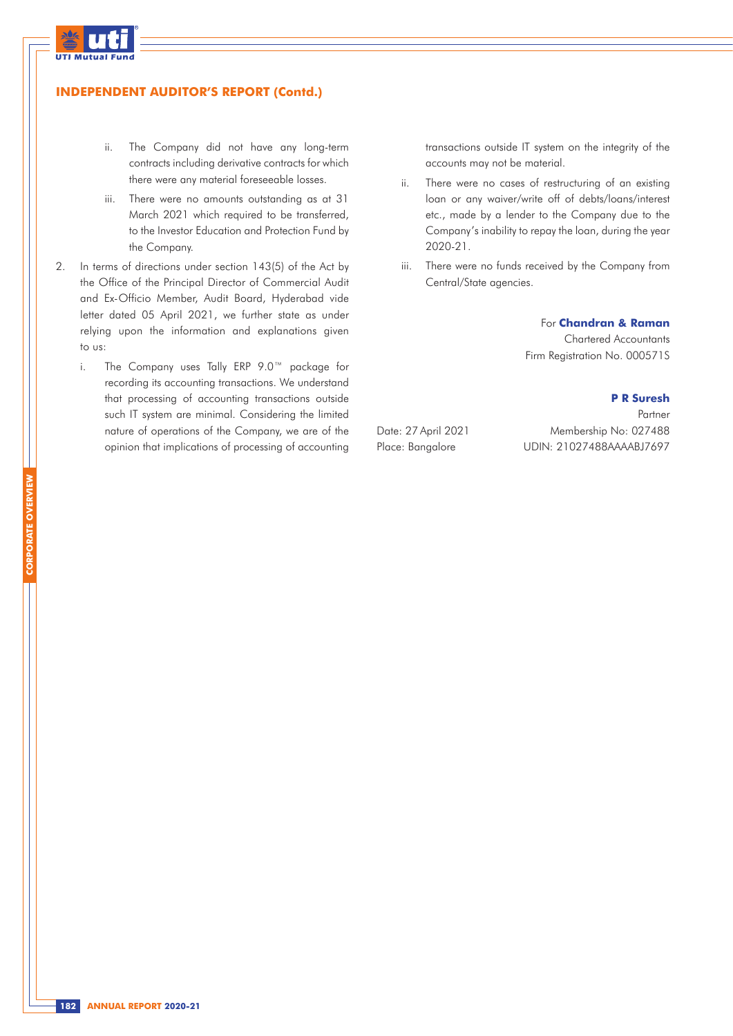

# **INDEPENDENT AUDITOR'S REPORT (Contd.)**

- ii. The Company did not have any long-term contracts including derivative contracts for which there were any material foreseeable losses.
- iii. There were no amounts outstanding as at 31 March 2021 which required to be transferred, to the Investor Education and Protection Fund by the Company.
- 2. In terms of directions under section 143(5) of the Act by the Office of the Principal Director of Commercial Audit and Ex-Officio Member, Audit Board, Hyderabad vide letter dated 05 April 2021, we further state as under relying upon the information and explanations given to us:
	- i. The Company uses Tally ERP 9.0™ package for recording its accounting transactions. We understand that processing of accounting transactions outside such IT system are minimal. Considering the limited nature of operations of the Company, we are of the opinion that implications of processing of accounting

transactions outside IT system on the integrity of the accounts may not be material.

- ii. There were no cases of restructuring of an existing loan or any waiver/write off of debts/loans/interest etc., made by a lender to the Company due to the Company's inability to repay the loan, during the year 2020-21.
- iii. There were no funds received by the Company from Central/State agencies.

For **Chandran & Raman** Chartered Accountants Firm Registration No. 000571S

# **P R Suresh**

Date: 27 April 2021 Place: Bangalore

**Partner** Membership No: 027488 UDIN: 21027488AAAABJ7697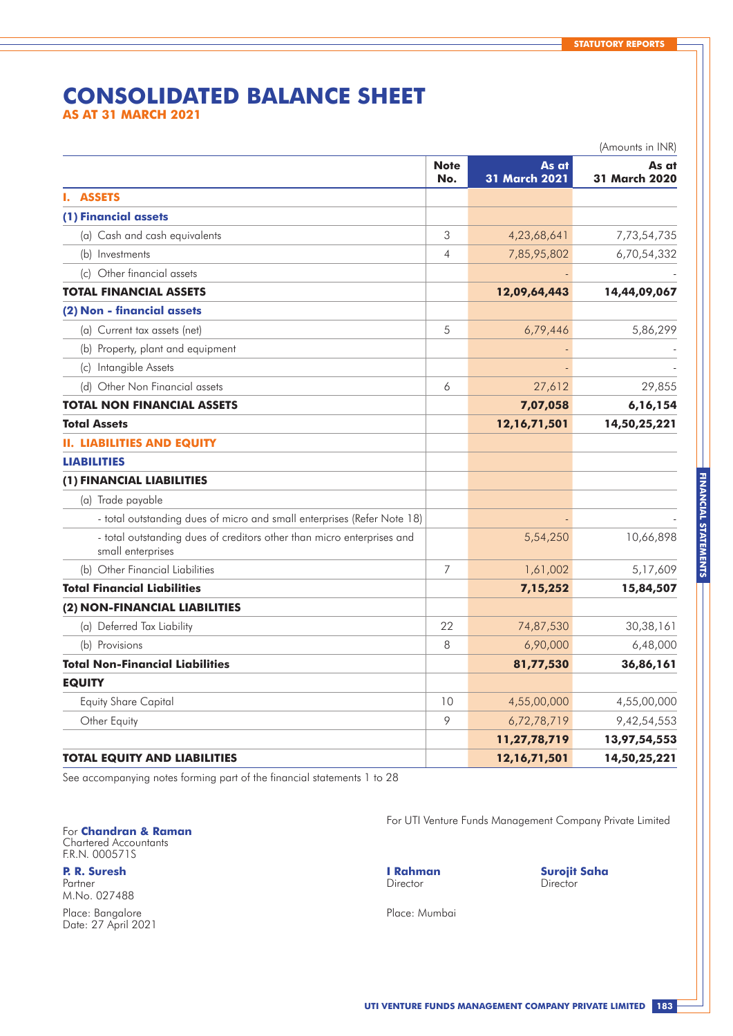# **CONSOLIDATED BALANCE SHEET**

**AS AT 31 MARCH 2021**

|                                                                                             |                    |                               | (Amounts in INR)              |
|---------------------------------------------------------------------------------------------|--------------------|-------------------------------|-------------------------------|
|                                                                                             | <b>Note</b><br>No. | As at<br><b>31 March 2021</b> | As at<br><b>31 March 2020</b> |
| <b>ASSETS</b><br>ъ.                                                                         |                    |                               |                               |
| (1) Financial assets                                                                        |                    |                               |                               |
| (a) Cash and cash equivalents                                                               | 3                  | 4,23,68,641                   | 7,73,54,735                   |
| (b) Investments                                                                             | 4                  | 7,85,95,802                   | 6,70,54,332                   |
| (c) Other financial assets                                                                  |                    |                               |                               |
| <b>TOTAL FINANCIAL ASSETS</b>                                                               |                    | 12,09,64,443                  | 14,44,09,067                  |
| (2) Non - financial assets                                                                  |                    |                               |                               |
| (a) Current tax assets (net)                                                                | 5                  | 6,79,446                      | 5,86,299                      |
| (b) Property, plant and equipment                                                           |                    |                               |                               |
| (c) Intangible Assets                                                                       |                    |                               |                               |
| (d) Other Non Financial assets                                                              | 6                  | 27,612                        | 29,855                        |
| <b>TOTAL NON FINANCIAL ASSETS</b>                                                           |                    | 7,07,058                      | 6,16,154                      |
| <b>Total Assets</b>                                                                         |                    | 12, 16, 71, 501               | 14,50,25,221                  |
| <b>II. LIABILITIES AND EQUITY</b>                                                           |                    |                               |                               |
| <b>LIABILITIES</b>                                                                          |                    |                               |                               |
| (1) FINANCIAL LIABILITIES                                                                   |                    |                               |                               |
| (a) Trade payable                                                                           |                    |                               |                               |
| - total outstanding dues of micro and small enterprises (Refer Note 18)                     |                    |                               |                               |
| - total outstanding dues of creditors other than micro enterprises and<br>small enterprises |                    | 5,54,250                      | 10,66,898                     |
| (b) Other Financial Liabilities                                                             | 7                  | 1,61,002                      | 5,17,609                      |
| <b>Total Financial Liabilities</b>                                                          |                    | 7,15,252                      | 15,84,507                     |
| (2) NON-FINANCIAL LIABILITIES                                                               |                    |                               |                               |
| (a) Deferred Tax Liability                                                                  | 22                 | 74,87,530                     | 30,38,161                     |
| (b) Provisions                                                                              | 8                  | 6,90,000                      | 6,48,000                      |
| <b>Total Non-Financial Liabilities</b>                                                      |                    | 81,77,530                     | 36,86,161                     |
| <b>EQUITY</b>                                                                               |                    |                               |                               |
| <b>Equity Share Capital</b>                                                                 | 10                 | 4,55,00,000                   | 4,55,00,000                   |
| Other Equity                                                                                | 9                  | 6,72,78,719                   | 9,42,54,553                   |
|                                                                                             |                    | 11,27,78,719                  | 13,97,54,553                  |
| <b>TOTAL EQUITY AND LIABILITIES</b>                                                         |                    | 12, 16, 71, 501               | 14,50,25,221                  |

See accompanying notes forming part of the financial statements 1 to 28

For **Chandran & Raman** Chartered Accountants F.R.N. 000571S

Partner Director Director Director Director Director Director Director Director Director Director Director Director M.No. 027488

Place: Bangalore Place: Mumbai Date: 27 April 2021

For UTI Venture Funds Management Company Private Limited

**P. R. Suresh I Rahman Surojit Saha**

**FINANCIAL STATEMENTS**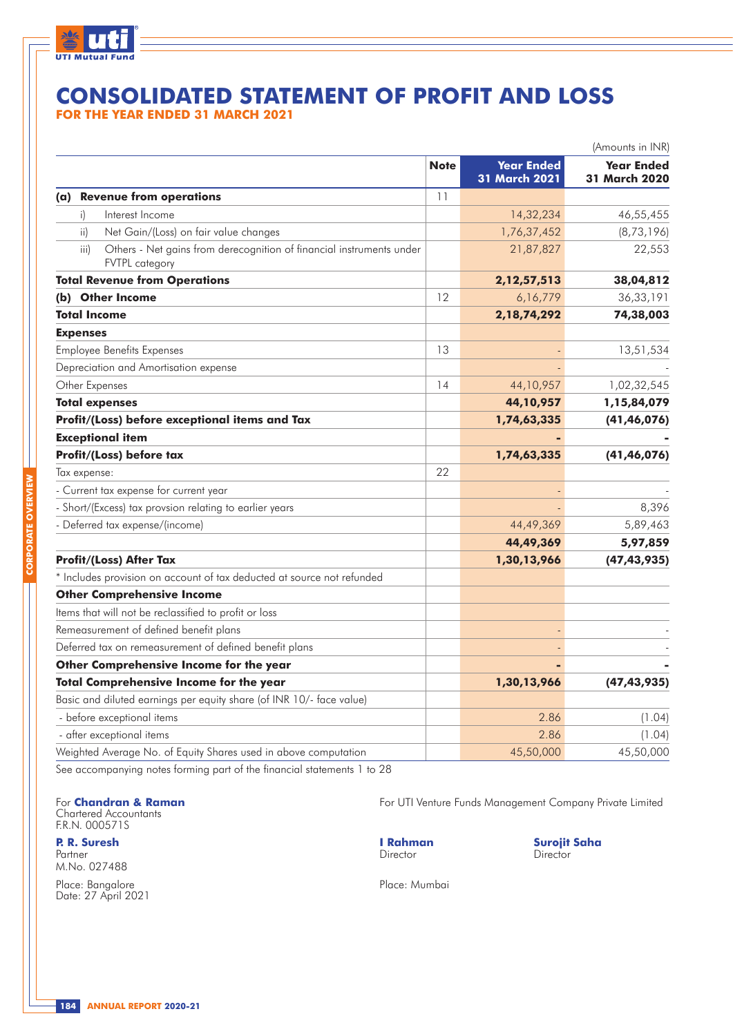

# **CONSOLIDATED STATEMENT OF PROFIT AND LOSS**

**FOR THE YEAR ENDED 31 MARCH 2021**

|     |                 |                                                                                               |             |                                           | (Amounts in INR)                          |
|-----|-----------------|-----------------------------------------------------------------------------------------------|-------------|-------------------------------------------|-------------------------------------------|
|     |                 |                                                                                               | <b>Note</b> | <b>Year Ended</b><br><b>31 March 2021</b> | <b>Year Ended</b><br><b>31 March 2020</b> |
| (a) |                 | <b>Revenue from operations</b>                                                                | 11          |                                           |                                           |
|     | i)              | Interest Income                                                                               |             | 14,32,234                                 | 46,55,455                                 |
|     | ii)             | Net Gain/(Loss) on fair value changes                                                         |             | 1,76,37,452                               | (8, 73, 196)                              |
|     | iii)            | Others - Net gains from derecognition of financial instruments under<br><b>FVTPL</b> category |             | 21,87,827                                 | 22,553                                    |
|     |                 | <b>Total Revenue from Operations</b>                                                          |             | 2,12,57,513                               | 38,04,812                                 |
|     |                 | (b) Other Income                                                                              | 12          | 6,16,779                                  | 36,33,191                                 |
|     |                 | <b>Total Income</b>                                                                           |             | 2,18,74,292                               | 74,38,003                                 |
|     | <b>Expenses</b> |                                                                                               |             |                                           |                                           |
|     |                 | <b>Employee Benefits Expenses</b>                                                             | 13          |                                           | 13,51,534                                 |
|     |                 | Depreciation and Amortisation expense                                                         |             |                                           |                                           |
|     |                 | Other Expenses                                                                                | 14          | 44, 10, 957                               | 1,02,32,545                               |
|     |                 | <b>Total expenses</b>                                                                         |             | 44,10,957                                 | 1,15,84,079                               |
|     |                 | Profit/(Loss) before exceptional items and Tax                                                |             | 1,74,63,335                               | (41, 46, 076)                             |
|     |                 | <b>Exceptional item</b>                                                                       |             |                                           |                                           |
|     |                 | Profit/(Loss) before tax                                                                      |             | 1,74,63,335                               | (41, 46, 076)                             |
|     | Tax expense:    |                                                                                               | 22          |                                           |                                           |
|     |                 | - Current tax expense for current year                                                        |             |                                           |                                           |
|     |                 | - Short/(Excess) tax provsion relating to earlier years                                       |             |                                           | 8,396                                     |
|     |                 | - Deferred tax expense/(income)                                                               |             | 44,49,369                                 | 5,89,463                                  |
|     |                 |                                                                                               |             | 44,49,369                                 | 5,97,859                                  |
|     |                 | <b>Profit/(Loss) After Tax</b>                                                                |             | 1,30,13,966                               | (47, 43, 935)                             |
|     |                 | * Includes provision on account of tax deducted at source not refunded                        |             |                                           |                                           |
|     |                 | <b>Other Comprehensive Income</b>                                                             |             |                                           |                                           |
|     |                 | Items that will not be reclassified to profit or loss                                         |             |                                           |                                           |
|     |                 | Remeasurement of defined benefit plans                                                        |             |                                           |                                           |
|     |                 | Deferred tax on remeasurement of defined benefit plans                                        |             |                                           |                                           |
|     |                 | Other Comprehensive Income for the year                                                       |             |                                           |                                           |
|     |                 | <b>Total Comprehensive Income for the year</b>                                                |             | 1,30,13,966                               | (47, 43, 935)                             |
|     |                 | Basic and diluted earnings per equity share (of INR 10/- face value)                          |             |                                           |                                           |
|     |                 | - before exceptional items                                                                    |             | 2.86                                      | (1.04)                                    |
|     |                 | - after exceptional items                                                                     |             | 2.86                                      | (1.04)                                    |
|     |                 | Weighted Average No. of Equity Shares used in above computation                               |             | 45,50,000                                 | 45,50,000                                 |

See accompanying notes forming part of the financial statements 1 to 28

For **Chandran & Raman**<br>Chartered Accountants

F.R.N. 000571S

**P. R. Suresh I Rahman Surojit Saha** Partner Director Director Director Director Director Director Director Director Director M.No. 027488

Place: Bangalore Place: Mumbai Date: 27 April 2021

For UTI Venture Funds Management Company Private Limited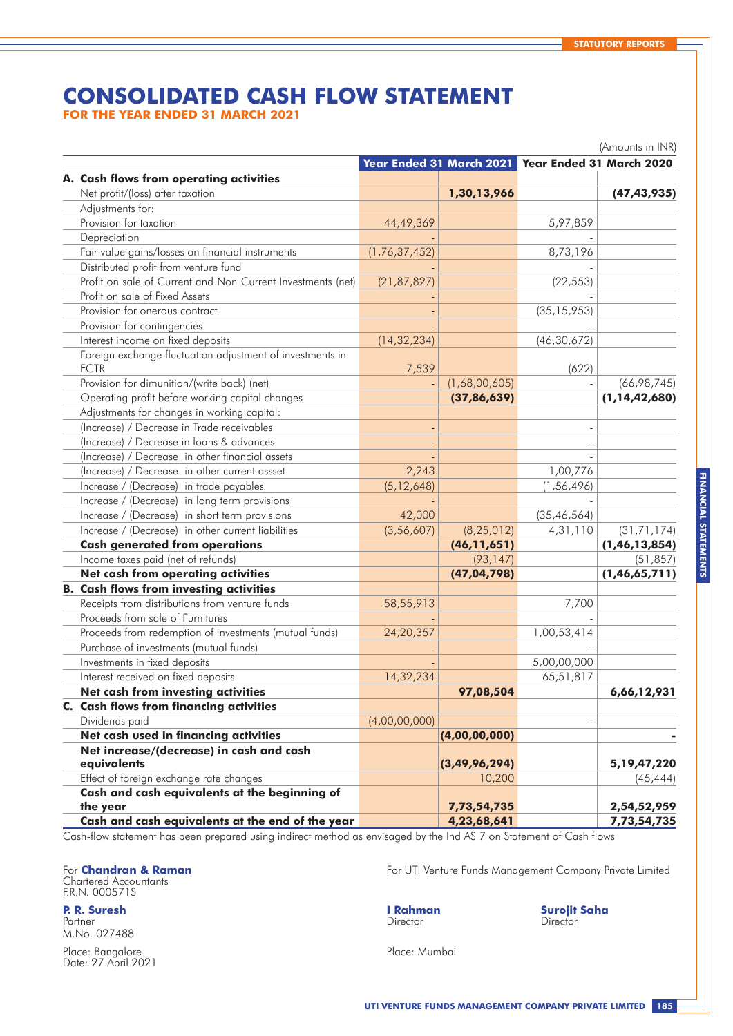# **CONSOLIDATED CASH FLOW STATEMENT**

**FOR THE YEAR ENDED 31 MARCH 2021**

|                                                                          |                  |                                                   |               | (Amounts in INR) |
|--------------------------------------------------------------------------|------------------|---------------------------------------------------|---------------|------------------|
|                                                                          |                  | Year Ended 31 March 2021 Year Ended 31 March 2020 |               |                  |
| A. Cash flows from operating activities                                  |                  |                                                   |               |                  |
| Net profit/(loss) after taxation                                         |                  | 1,30,13,966                                       |               | (47, 43, 935)    |
| Adjustments for:                                                         |                  |                                                   |               |                  |
| Provision for taxation                                                   | 44,49,369        |                                                   | 5,97,859      |                  |
| Depreciation                                                             |                  |                                                   |               |                  |
| Fair value gains/losses on financial instruments                         | (1, 76, 37, 452) |                                                   | 8,73,196      |                  |
| Distributed profit from venture fund                                     |                  |                                                   |               |                  |
| Profit on sale of Current and Non Current Investments (net)              | (21, 87, 827)    |                                                   | (22, 553)     |                  |
| Profit on sale of Fixed Assets                                           |                  |                                                   |               |                  |
| Provision for onerous contract                                           |                  |                                                   | (35, 15, 953) |                  |
| Provision for contingencies                                              |                  |                                                   |               |                  |
| Interest income on fixed deposits                                        | (14, 32, 234)    |                                                   | (46, 30, 672) |                  |
| Foreign exchange fluctuation adjustment of investments in<br><b>FCTR</b> | 7,539            |                                                   | (622)         |                  |
| Provision for dimunition/(write back) (net)                              |                  | (1,68,00,605)                                     |               | (66, 98, 745)    |
| Operating profit before working capital changes                          |                  | (37, 86, 639)                                     |               | (1, 14, 42, 680) |
| Adjustments for changes in working capital:                              |                  |                                                   |               |                  |
| (Increase) / Decrease in Trade receivables                               |                  |                                                   |               |                  |
| (Increase) / Decrease in loans & advances                                |                  |                                                   |               |                  |
| (Increase) / Decrease in other financial assets                          |                  |                                                   |               |                  |
| (Increase) / Decrease in other current assset                            | 2,243            |                                                   | 1,00,776      |                  |
| Increase / (Decrease) in trade payables                                  | (5, 12, 648)     |                                                   | (1, 56, 496)  |                  |
| Increase / (Decrease) in long term provisions                            |                  |                                                   |               |                  |
| Increase / (Decrease) in short term provisions                           | 42,000           |                                                   | (35, 46, 564) |                  |
| Increase / (Decrease) in other current liabilities                       | (3,56,607)       | (8, 25, 012)                                      | 4,31,110      | (31, 71, 174)    |
| <b>Cash generated from operations</b>                                    |                  | (46, 11, 651)                                     |               | (1, 46, 13, 854) |
| Income taxes paid (net of refunds)                                       |                  | (93, 147)                                         |               | (51, 857)        |
| Net cash from operating activities                                       |                  | (47, 04, 798)                                     |               | (1,46,65,711)    |
| <b>B. Cash flows from investing activities</b>                           |                  |                                                   |               |                  |
| Receipts from distributions from venture funds                           | 58,55,913        |                                                   | 7,700         |                  |
| Proceeds from sale of Furnitures                                         |                  |                                                   |               |                  |
| Proceeds from redemption of investments (mutual funds)                   | 24,20,357        |                                                   | 1,00,53,414   |                  |
| Purchase of investments (mutual funds)                                   |                  |                                                   |               |                  |
| Investments in fixed deposits                                            |                  |                                                   | 5,00,00,000   |                  |
| Interest received on fixed deposits                                      | 14,32,234        |                                                   | 65,51,817     |                  |
| Net cash from investing activities                                       |                  | 97,08,504                                         |               | 6,66,12,931      |
| C. Cash flows from financing activities                                  |                  |                                                   |               |                  |
| Dividends paid                                                           | (4,00,00,000)    |                                                   |               |                  |
| Net cash used in financing activities                                    |                  | (4,00,00,000)                                     |               |                  |
| Net increase/(decrease) in cash and cash                                 |                  |                                                   |               |                  |
| equivalents                                                              |                  | (3, 49, 96, 294)                                  |               | 5, 19, 47, 220   |
| Effect of foreign exchange rate changes                                  |                  | 10,200                                            |               | (45, 444)        |
| Cash and cash equivalents at the beginning of                            |                  |                                                   |               |                  |
| the year                                                                 |                  | 7,73,54,735                                       |               | 2,54,52,959      |
| Cash and cash equivalents at the end of the year                         |                  | 4,23,68,641                                       |               | 7,73,54,735      |
|                                                                          |                  |                                                   |               |                  |

Cash-flow statement has been prepared using indirect method as envisaged by the Ind AS 7 on Statement of Cash flows

Chartered Accountants F.R.N. 000571S

M.No. 027488

Place: Bangalore **Place: Mumbai** Date: 27 April 2021

For **Chandran & Raman** For UTI Venture Funds Management Company Private Limited

Partner Director Director Director Director Director Director Director Director Director Director Director Director

**P. R. Suresh I Rahman Surojit Saha**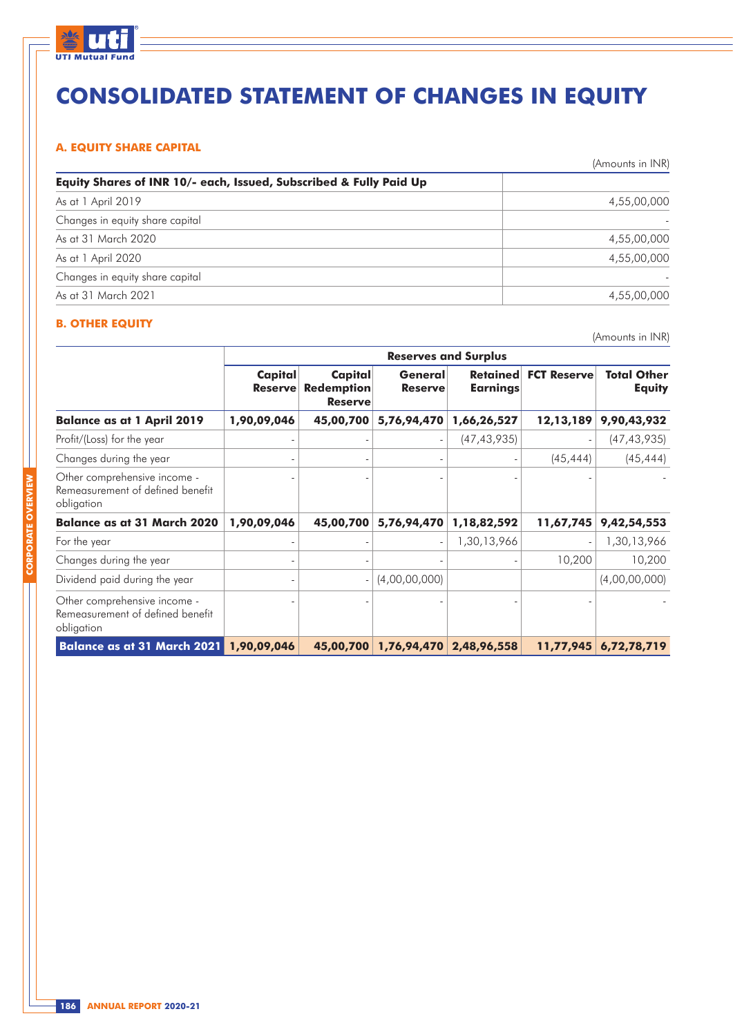

# **CONSOLIDATED STATEMENT OF CHANGES IN EQUITY**

# **A. EQUITY SHARE CAPITAL**

| Equity Shares of INR 10/- each, Issued, Subscribed & Fully Paid Up |             |  |  |
|--------------------------------------------------------------------|-------------|--|--|
| As at 1 April 2019                                                 | 4,55,00,000 |  |  |
| Changes in equity share capital                                    |             |  |  |
| As at 31 March 2020                                                | 4,55,00,000 |  |  |
| As at 1 April 2020                                                 | 4,55,00,000 |  |  |
| Changes in equity share capital                                    |             |  |  |
| As at 31 March 2021                                                | 4,55,00,000 |  |  |

# **B. OTHER EQUITY**

(Amounts in INR)

|                                                                                | <b>Reserves and Surplus</b> |                                                |                                   |                 |                             |                                     |
|--------------------------------------------------------------------------------|-----------------------------|------------------------------------------------|-----------------------------------|-----------------|-----------------------------|-------------------------------------|
|                                                                                | Capital<br><b>Reserve</b>   | Capital<br><b>Redemption</b><br><b>Reserve</b> | General<br><b>Reserve</b>         | <b>Earnings</b> | <b>Retained FCT Reserve</b> | <b>Total Other</b><br><b>Equity</b> |
| <b>Balance as at 1 April 2019</b>                                              | 1,90,09,046                 | 45,00,700                                      | 5,76,94,470                       | 1,66,26,527     | 12,13,189                   | 9,90,43,932                         |
| Profit/(Loss) for the year                                                     |                             |                                                |                                   | (47, 43, 935)   |                             | (47, 43, 935)                       |
| Changes during the year                                                        |                             |                                                |                                   |                 | (45, 444)                   | (45, 444)                           |
| Other comprehensive income -<br>Remeasurement of defined benefit<br>obligation |                             |                                                |                                   |                 |                             |                                     |
| <b>Balance as at 31 March 2020</b>                                             | 1,90,09,046                 | 45,00,700                                      | 5,76,94,470                       | 1,18,82,592     | 11,67,745                   | 9,42,54,553                         |
| For the year                                                                   |                             |                                                |                                   | 1,30,13,966     |                             | 1,30,13,966                         |
| Changes during the year                                                        |                             |                                                |                                   |                 | 10,200                      | 10,200                              |
| Dividend paid during the year                                                  |                             |                                                | (4,00,00,000)                     |                 |                             | (4,00,00,000)                       |
| Other comprehensive income -<br>Remeasurement of defined benefit<br>obligation |                             |                                                |                                   |                 |                             |                                     |
| <b>Balance as at 31 March 2021 1,90,09,046</b>                                 |                             |                                                | 45,00,700 1,76,94,470 2,48,96,558 |                 |                             | 11,77,945 6,72,78,719               |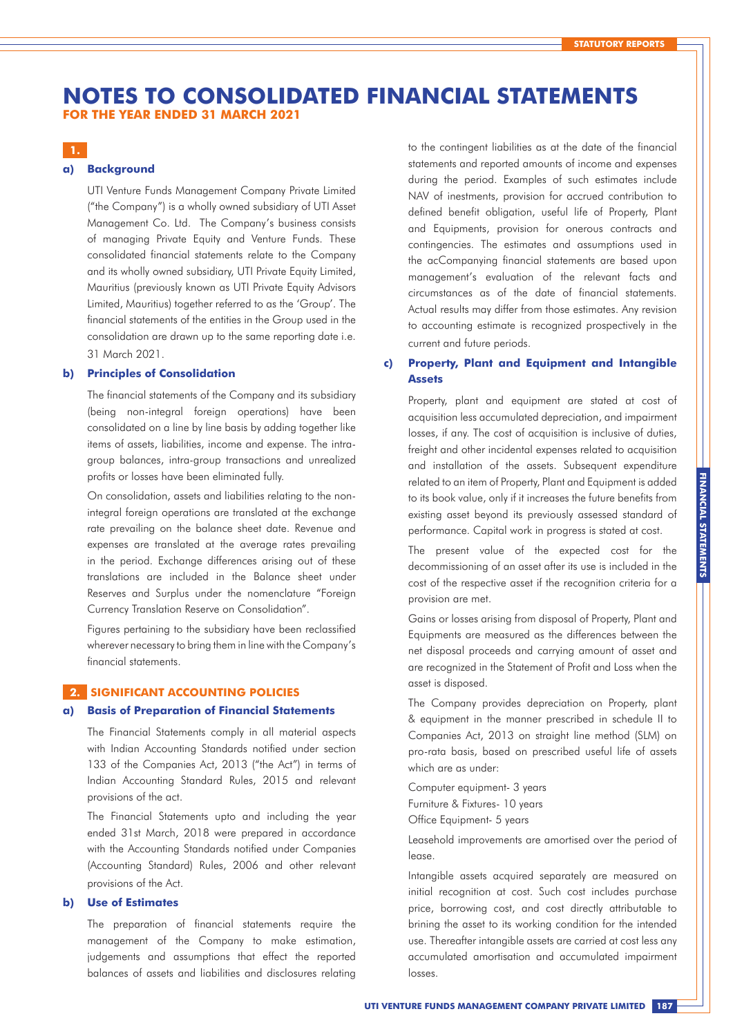# **NOTES TO CONSOLIDATED FINANCIAL STATEMENTS**

**FOR THE YEAR ENDED 31 MARCH 2021**

## **1.**

### **a) Background**

UTI Venture Funds Management Company Private Limited ("the Company") is a wholly owned subsidiary of UTI Asset Management Co. Ltd. The Company's business consists of managing Private Equity and Venture Funds. These consolidated financial statements relate to the Company and its wholly owned subsidiary, UTI Private Equity Limited, Mauritius (previously known as UTI Private Equity Advisors Limited, Mauritius) together referred to as the 'Group'. The financial statements of the entities in the Group used in the consolidation are drawn up to the same reporting date i.e. 31 March 2021.

#### **b) Principles of Consolidation**

The financial statements of the Company and its subsidiary (being non-integral foreign operations) have been consolidated on a line by line basis by adding together like items of assets, liabilities, income and expense. The intragroup balances, intra-group transactions and unrealized profits or losses have been eliminated fully.

On consolidation, assets and liabilities relating to the nonintegral foreign operations are translated at the exchange rate prevailing on the balance sheet date. Revenue and expenses are translated at the average rates prevailing in the period. Exchange differences arising out of these translations are included in the Balance sheet under Reserves and Surplus under the nomenclature "Foreign Currency Translation Reserve on Consolidation".

Figures pertaining to the subsidiary have been reclassified wherever necessary to bring them in line with the Company's financial statements.

#### **2. SIGNIFICANT ACCOUNTING POLICIES**

#### **a) Basis of Preparation of Financial Statements**

The Financial Statements comply in all material aspects with Indian Accounting Standards notified under section 133 of the Companies Act, 2013 ("the Act") in terms of Indian Accounting Standard Rules, 2015 and relevant provisions of the act.

The Financial Statements upto and including the year ended 31st March, 2018 were prepared in accordance with the Accounting Standards notified under Companies (Accounting Standard) Rules, 2006 and other relevant provisions of the Act.

#### **b) Use of Estimates**

The preparation of financial statements require the management of the Company to make estimation, judgements and assumptions that effect the reported balances of assets and liabilities and disclosures relating to the contingent liabilities as at the date of the financial statements and reported amounts of income and expenses during the period. Examples of such estimates include NAV of inestments, provision for accrued contribution to defined benefit obligation, useful life of Property, Plant and Equipments, provision for onerous contracts and contingencies. The estimates and assumptions used in the acCompanying financial statements are based upon management's evaluation of the relevant facts and circumstances as of the date of financial statements. Actual results may differ from those estimates. Any revision to accounting estimate is recognized prospectively in the current and future periods.

# **c) Property, Plant and Equipment and Intangible Assets**

Property, plant and equipment are stated at cost of acquisition less accumulated depreciation, and impairment losses, if any. The cost of acquisition is inclusive of duties, freight and other incidental expenses related to acquisition and installation of the assets. Subsequent expenditure related to an item of Property, Plant and Equipment is added to its book value, only if it increases the future benefits from existing asset beyond its previously assessed standard of performance. Capital work in progress is stated at cost.

The present value of the expected cost for the decommissioning of an asset after its use is included in the cost of the respective asset if the recognition criteria for a provision are met.

Gains or losses arising from disposal of Property, Plant and Equipments are measured as the differences between the net disposal proceeds and carrying amount of asset and are recognized in the Statement of Profit and Loss when the asset is disposed.

The Company provides depreciation on Property, plant & equipment in the manner prescribed in schedule II to Companies Act, 2013 on straight line method (SLM) on pro-rata basis, based on prescribed useful life of assets which are as under:

Computer equipment- 3 years Furniture & Fixtures- 10 years

Office Equipment- 5 years

Leasehold improvements are amortised over the period of lease.

Intangible assets acquired separately are measured on initial recognition at cost. Such cost includes purchase price, borrowing cost, and cost directly attributable to brining the asset to its working condition for the intended use. Thereafter intangible assets are carried at cost less any accumulated amortisation and accumulated impairment losses.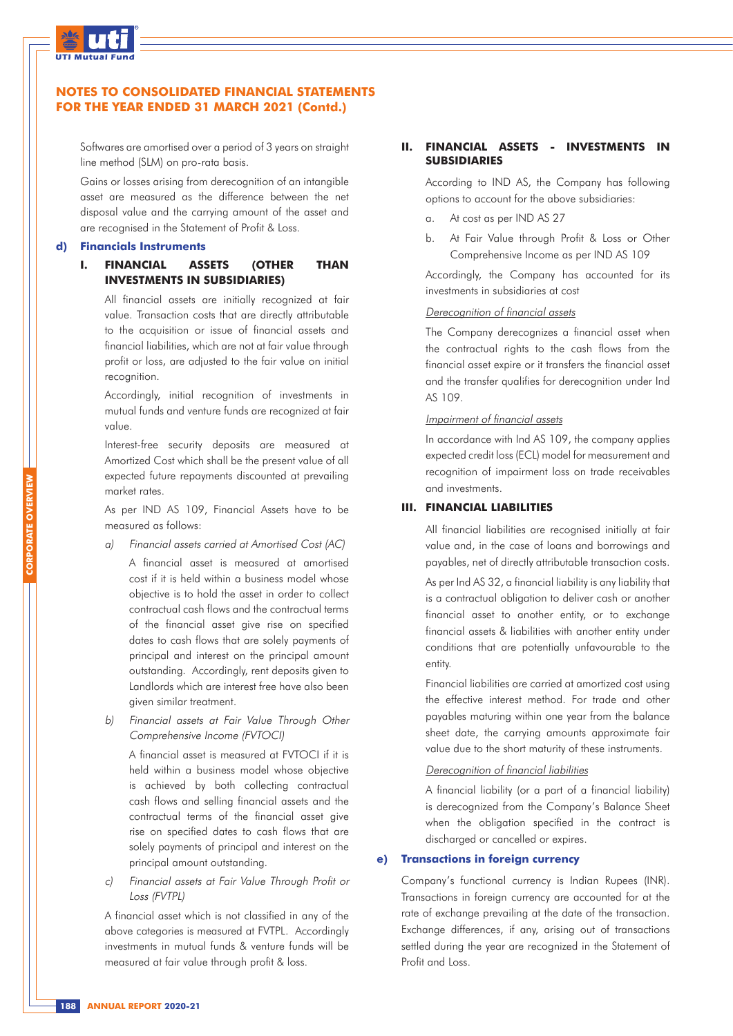

Softwares are amortised over a period of 3 years on straight line method (SLM) on pro-rata basis.

Gains or losses arising from derecognition of an intangible asset are measured as the difference between the net disposal value and the carrying amount of the asset and are recognised in the Statement of Profit & Loss.

#### **d) Financials Instruments**

## **I. FINANCIAL ASSETS (OTHER THAN INVESTMENTS IN SUBSIDIARIES)**

All financial assets are initially recognized at fair value. Transaction costs that are directly attributable to the acquisition or issue of financial assets and financial liabilities, which are not at fair value through profit or loss, are adjusted to the fair value on initial recognition.

Accordingly, initial recognition of investments in mutual funds and venture funds are recognized at fair value.

Interest-free security deposits are measured at Amortized Cost which shall be the present value of all expected future repayments discounted at prevailing market rates.

As per IND AS 109, Financial Assets have to be measured as follows:

a) Financial assets carried at Amortised Cost (AC)

A financial asset is measured at amortised cost if it is held within a business model whose objective is to hold the asset in order to collect contractual cash flows and the contractual terms of the financial asset give rise on specified dates to cash flows that are solely payments of principal and interest on the principal amount outstanding. Accordingly, rent deposits given to Landlords which are interest free have also been given similar treatment.

b) Financial assets at Fair Value Through Other Comprehensive Income (FVTOCI)

A financial asset is measured at FVTOCI if it is held within a business model whose objective is achieved by both collecting contractual cash flows and selling financial assets and the contractual terms of the financial asset give rise on specified dates to cash flows that are solely payments of principal and interest on the principal amount outstanding.

c) Financial assets at Fair Value Through Profit or Loss (FVTPL)

A financial asset which is not classified in any of the above categories is measured at FVTPL. Accordingly investments in mutual funds & venture funds will be measured at fair value through profit & loss.

#### **II. FINANCIAL ASSETS - INVESTMENTS IN SUBSIDIARIES**

According to IND AS, the Company has following options to account for the above subsidiaries:

- a. At cost as per IND AS 27
- b. At Fair Value through Profit & Loss or Other Comprehensive Income as per IND AS 109

Accordingly, the Company has accounted for its investments in subsidiaries at cost

#### Derecognition of financial assets

The Company derecognizes a financial asset when the contractual rights to the cash flows from the financial asset expire or it transfers the financial asset and the transfer qualifies for derecognition under Ind AS 109.

#### Impairment of financial assets

In accordance with Ind AS 109, the company applies expected credit loss (ECL) model for measurement and recognition of impairment loss on trade receivables and investments.

#### **III. FINANCIAL LIABILITIES**

All financial liabilities are recognised initially at fair value and, in the case of loans and borrowings and payables, net of directly attributable transaction costs.

As per Ind AS 32, a financial liability is any liability that is a contractual obligation to deliver cash or another financial asset to another entity, or to exchange financial assets & liabilities with another entity under conditions that are potentially unfavourable to the entity.

Financial liabilities are carried at amortized cost using the effective interest method. For trade and other payables maturing within one year from the balance sheet date, the carrying amounts approximate fair value due to the short maturity of these instruments.

#### Derecognition of financial liabilities

A financial liability (or a part of a financial liability) is derecognized from the Company's Balance Sheet when the obligation specified in the contract is discharged or cancelled or expires.

#### **e) Transactions in foreign currency**

Company's functional currency is Indian Rupees (INR). Transactions in foreign currency are accounted for at the rate of exchange prevailing at the date of the transaction. Exchange differences, if any, arising out of transactions settled during the year are recognized in the Statement of Profit and Loss.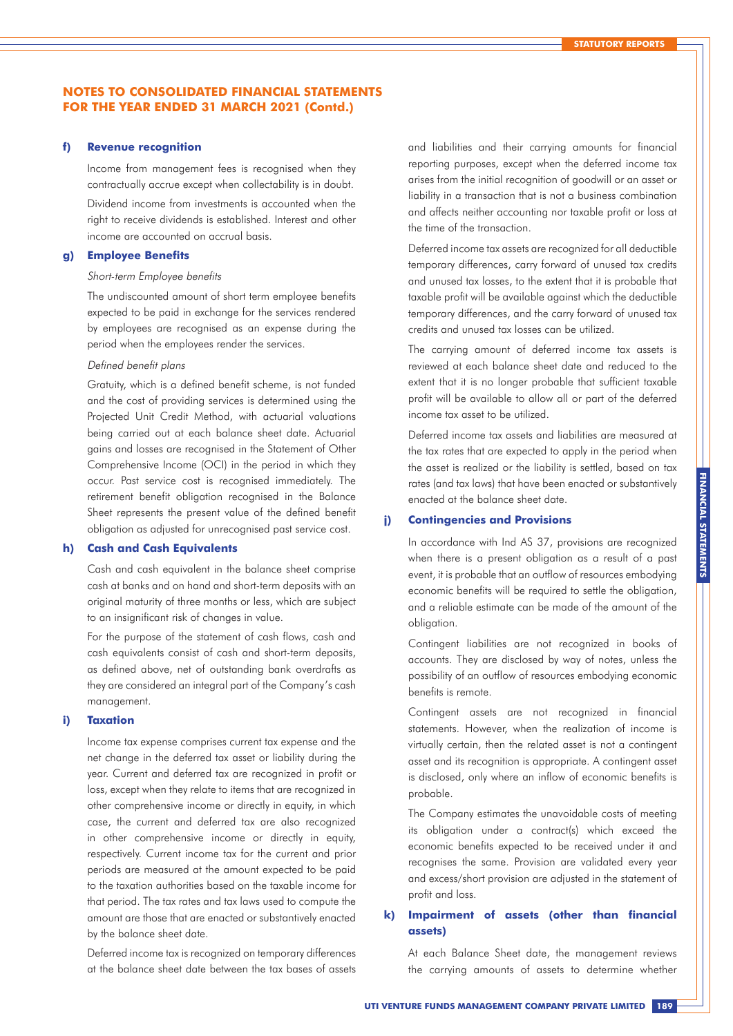#### **f) Revenue recognition**

Income from management fees is recognised when they contractually accrue except when collectability is in doubt.

Dividend income from investments is accounted when the right to receive dividends is established. Interest and other income are accounted on accrual basis.

#### **g) Employee Benefits**

#### Short-term Employee benefits

The undiscounted amount of short term employee benefits expected to be paid in exchange for the services rendered by employees are recognised as an expense during the period when the employees render the services.

#### Defined benefit plans

Gratuity, which is a defined benefit scheme, is not funded and the cost of providing services is determined using the Projected Unit Credit Method, with actuarial valuations being carried out at each balance sheet date. Actuarial gains and losses are recognised in the Statement of Other Comprehensive Income (OCI) in the period in which they occur. Past service cost is recognised immediately. The retirement benefit obligation recognised in the Balance Sheet represents the present value of the defined benefit obligation as adjusted for unrecognised past service cost.

#### **h) Cash and Cash Equivalents**

Cash and cash equivalent in the balance sheet comprise cash at banks and on hand and short-term deposits with an original maturity of three months or less, which are subject to an insignificant risk of changes in value.

For the purpose of the statement of cash flows, cash and cash equivalents consist of cash and short-term deposits, as defined above, net of outstanding bank overdrafts as they are considered an integral part of the Company's cash management.

### **i) Taxation**

Income tax expense comprises current tax expense and the net change in the deferred tax asset or liability during the year. Current and deferred tax are recognized in profit or loss, except when they relate to items that are recognized in other comprehensive income or directly in equity, in which case, the current and deferred tax are also recognized in other comprehensive income or directly in equity, respectively. Current income tax for the current and prior periods are measured at the amount expected to be paid to the taxation authorities based on the taxable income for that period. The tax rates and tax laws used to compute the amount are those that are enacted or substantively enacted by the balance sheet date.

Deferred income tax is recognized on temporary differences at the balance sheet date between the tax bases of assets and liabilities and their carrying amounts for financial reporting purposes, except when the deferred income tax arises from the initial recognition of goodwill or an asset or liability in a transaction that is not a business combination and affects neither accounting nor taxable profit or loss at the time of the transaction.

Deferred income tax assets are recognized for all deductible temporary differences, carry forward of unused tax credits and unused tax losses, to the extent that it is probable that taxable profit will be available against which the deductible temporary differences, and the carry forward of unused tax credits and unused tax losses can be utilized.

The carrying amount of deferred income tax assets is reviewed at each balance sheet date and reduced to the extent that it is no longer probable that sufficient taxable profit will be available to allow all or part of the deferred income tax asset to be utilized.

Deferred income tax assets and liabilities are measured at the tax rates that are expected to apply in the period when the asset is realized or the liability is settled, based on tax rates (and tax laws) that have been enacted or substantively enacted at the balance sheet date.

#### **j) Contingencies and Provisions**

In accordance with Ind AS 37, provisions are recognized when there is a present obligation as a result of a past event, it is probable that an outflow of resources embodying economic benefits will be required to settle the obligation, and a reliable estimate can be made of the amount of the obligation.

Contingent liabilities are not recognized in books of accounts. They are disclosed by way of notes, unless the possibility of an outflow of resources embodying economic benefits is remote.

Contingent assets are not recognized in financial statements. However, when the realization of income is virtually certain, then the related asset is not a contingent asset and its recognition is appropriate. A contingent asset is disclosed, only where an inflow of economic benefits is probable.

The Company estimates the unavoidable costs of meeting its obligation under a contract(s) which exceed the economic benefits expected to be received under it and recognises the same. Provision are validated every year and excess/short provision are adjusted in the statement of profit and loss.

# **k) Impairment of assets (other than financial assets)**

At each Balance Sheet date, the management reviews the carrying amounts of assets to determine whether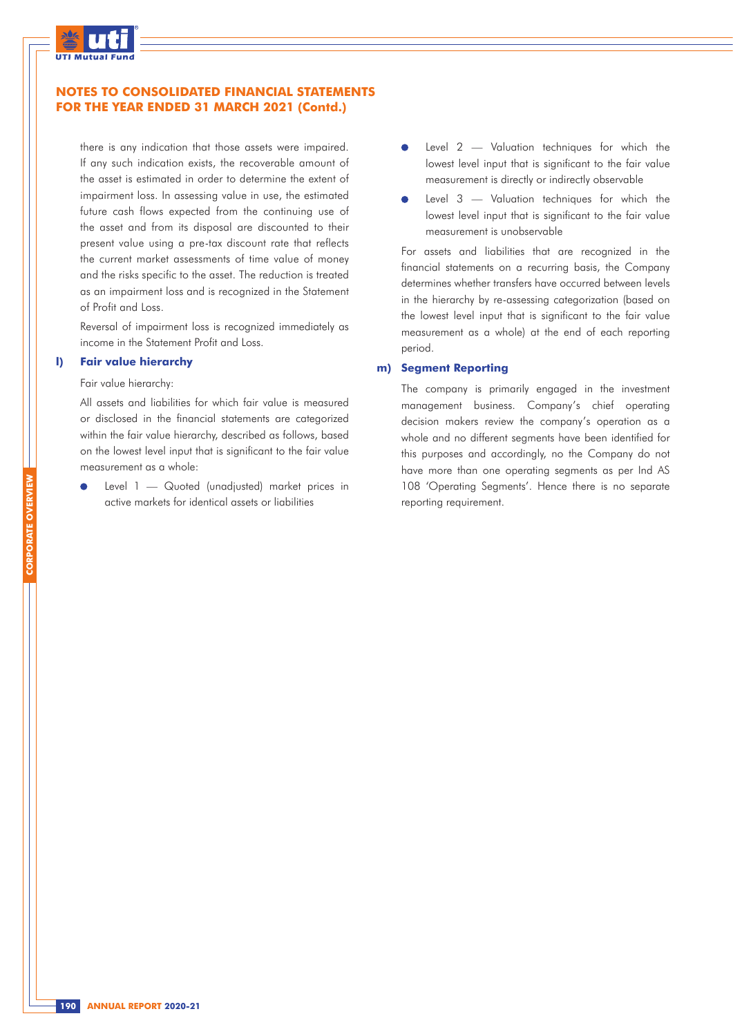

there is any indication that those assets were impaired. If any such indication exists, the recoverable amount of the asset is estimated in order to determine the extent of impairment loss. In assessing value in use, the estimated future cash flows expected from the continuing use of the asset and from its disposal are discounted to their present value using a pre-tax discount rate that reflects the current market assessments of time value of money and the risks specific to the asset. The reduction is treated as an impairment loss and is recognized in the Statement of Profit and Loss.

Reversal of impairment loss is recognized immediately as income in the Statement Profit and Loss.

#### **l) Fair value hierarchy**

#### Fair value hierarchy:

All assets and liabilities for which fair value is measured or disclosed in the financial statements are categorized within the fair value hierarchy, described as follows, based on the lowest level input that is significant to the fair value measurement as a whole:

Level 1 — Quoted (unadjusted) market prices in active markets for identical assets or liabilities

- Level 2 Valuation techniques for which the lowest level input that is significant to the fair value measurement is directly or indirectly observable
- Level 3 Valuation techniques for which the lowest level input that is significant to the fair value measurement is unobservable

For assets and liabilities that are recognized in the financial statements on a recurring basis, the Company determines whether transfers have occurred between levels in the hierarchy by re-assessing categorization (based on the lowest level input that is significant to the fair value measurement as a whole) at the end of each reporting period.

#### **m) Segment Reporting**

The company is primarily engaged in the investment management business. Company's chief operating decision makers review the company's operation as a whole and no different segments have been identified for this purposes and accordingly, no the Company do not have more than one operating segments as per Ind AS 108 'Operating Segments'. Hence there is no separate reporting requirement.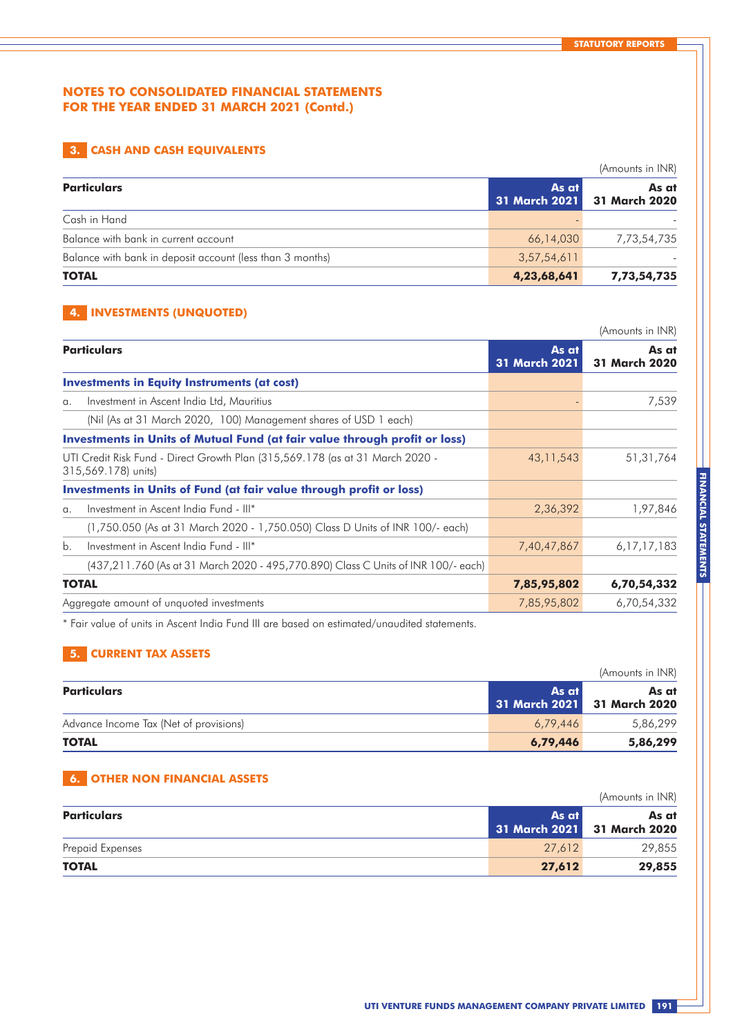# **3. CASH AND CASH EQUIVALENTS**

|                                                           |                        | (Amounts in INR)              |
|-----------------------------------------------------------|------------------------|-------------------------------|
| <b>Particulars</b>                                        | As at<br>31 March 2021 | As at<br><b>31 March 2020</b> |
| Cash in Hand                                              |                        |                               |
| Balance with bank in current account                      | 66,14,030              | 7,73,54,735                   |
| Balance with bank in deposit account (less than 3 months) | 3,57,54,611            |                               |
| <b>TOTAL</b>                                              | 4,23,68,641            | 7,73,54,735                   |

# **4. INVESTMENTS (UNQUOTED)**

|                                                                                   |                                                                                                                                                                                                                                                                                                                                                                                                                                                                                                                                    | (Amounts in INR)              |
|-----------------------------------------------------------------------------------|------------------------------------------------------------------------------------------------------------------------------------------------------------------------------------------------------------------------------------------------------------------------------------------------------------------------------------------------------------------------------------------------------------------------------------------------------------------------------------------------------------------------------------|-------------------------------|
|                                                                                   | As at<br><b>31 March 2021</b>                                                                                                                                                                                                                                                                                                                                                                                                                                                                                                      | As at<br><b>31 March 2020</b> |
|                                                                                   |                                                                                                                                                                                                                                                                                                                                                                                                                                                                                                                                    |                               |
|                                                                                   |                                                                                                                                                                                                                                                                                                                                                                                                                                                                                                                                    | 7,539                         |
| (Nil (As at 31 March 2020, 100) Management shares of USD 1 each)                  |                                                                                                                                                                                                                                                                                                                                                                                                                                                                                                                                    |                               |
|                                                                                   |                                                                                                                                                                                                                                                                                                                                                                                                                                                                                                                                    |                               |
|                                                                                   | 43, 11, 543                                                                                                                                                                                                                                                                                                                                                                                                                                                                                                                        | 51, 31, 764                   |
|                                                                                   |                                                                                                                                                                                                                                                                                                                                                                                                                                                                                                                                    |                               |
|                                                                                   | 2,36,392                                                                                                                                                                                                                                                                                                                                                                                                                                                                                                                           | 1,97,846                      |
| (1,750,050 (As at 31 March 2020 - 1,750,050) Class D Units of INR 100/- each)     |                                                                                                                                                                                                                                                                                                                                                                                                                                                                                                                                    |                               |
|                                                                                   | 7,40,47,867                                                                                                                                                                                                                                                                                                                                                                                                                                                                                                                        | 6, 17, 17, 183                |
| (437,211.760 (As at 31 March 2020 - 495,770.890) Class C Units of INR 100/- each) |                                                                                                                                                                                                                                                                                                                                                                                                                                                                                                                                    |                               |
|                                                                                   | 7,85,95,802                                                                                                                                                                                                                                                                                                                                                                                                                                                                                                                        | 6,70,54,332                   |
|                                                                                   | 7,85,95,802                                                                                                                                                                                                                                                                                                                                                                                                                                                                                                                        | 6,70,54,332                   |
|                                                                                   | <b>Particulars</b><br><b>Investments in Equity Instruments (at cost)</b><br>Investment in Ascent India Ltd, Mauritius<br>Investments in Units of Mutual Fund (at fair value through profit or loss)<br>UTI Credit Risk Fund - Direct Growth Plan (315,569.178 (as at 31 March 2020 -<br>315,569.178) units)<br>Investments in Units of Fund (at fair value through profit or loss)<br>Investment in Ascent India Fund - III*<br>Investment in Ascent India Fund - III*<br><b>TOTAL</b><br>Aggregate amount of unquoted investments |                               |

\* Fair value of units in Ascent India Fund III are based on estimated/unaudited statements.

# **5. CURRENT TAX ASSETS**

|                                        |          | (Amounts in INR)                     |
|----------------------------------------|----------|--------------------------------------|
| <b>Particulars</b>                     | As at    | As at<br>31 March 2021 31 March 2020 |
| Advance Income Tax (Net of provisions) | 6,79,446 | 5,86,299                             |
| <b>TOTAL</b>                           | 6,79,446 | 5,86,299                             |

# **6. OTHER NON FINANCIAL ASSETS**

|                    |                                      | (Amounts in INR) |
|--------------------|--------------------------------------|------------------|
| <b>Particulars</b> | As at<br>31 March 2021 31 March 2020 | As at            |
| Prepaid Expenses   | 27,612                               | 29,855           |
| <b>TOTAL</b>       | 27,612                               | 29,855           |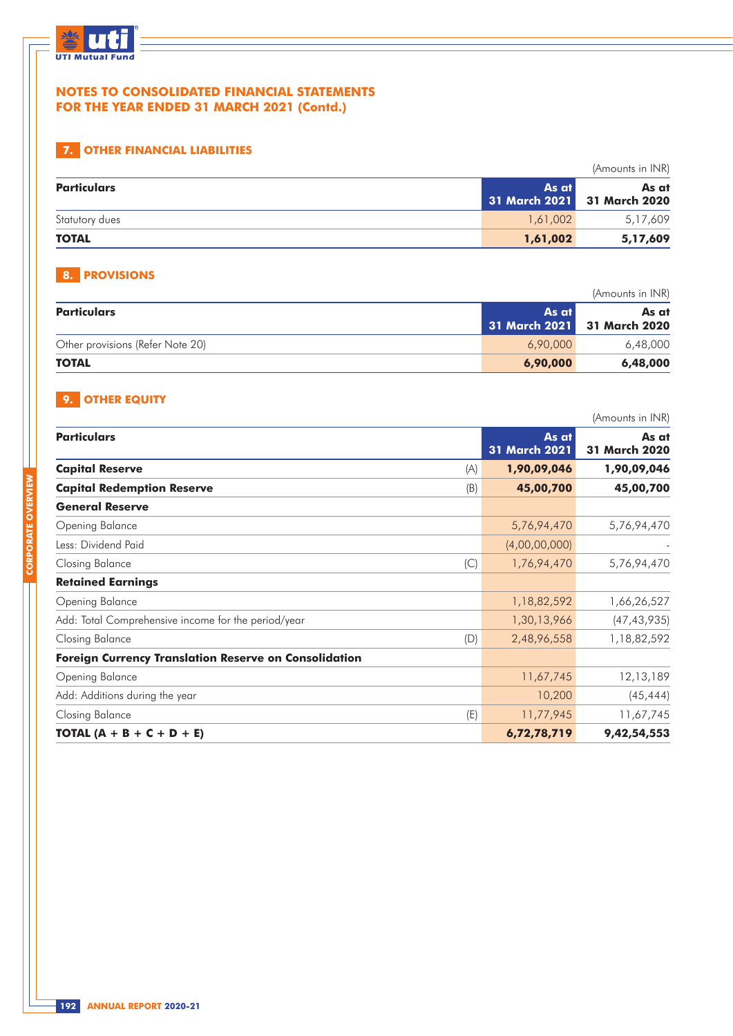

# **7. OTHER FINANCIAL LIABILITIES**

|                    |                                      | (Amounts in INR) |
|--------------------|--------------------------------------|------------------|
| <b>Particulars</b> | As at<br>31 March 2021 31 March 2020 | As at            |
| Statutory dues     | 1,61,002                             | 5,17,609         |
| <b>TOTAL</b>       | 1,61,002                             | 5,17,609         |

# **8. PROVISIONS**

|                                  |                                      | (Amounts in INR) |
|----------------------------------|--------------------------------------|------------------|
| <b>Particulars</b>               | As at<br>31 March 2021 31 March 2020 | As at            |
| Other provisions (Refer Note 20) | 6,90,000                             | 6,48,000         |
| <b>TOTAL</b>                     | 6,90,000                             | 6,48,000         |

# **9. OTHER EQUITY**

|                        | (Amounts in INR)       |
|------------------------|------------------------|
| As at<br>31 March 2021 | As at<br>31 March 2020 |
| 1,90,09,046            | 1,90,09,046            |
| 45,00,700              | 45,00,700              |
|                        |                        |
| 5,76,94,470            | 5,76,94,470            |
| (4,00,00,000)          |                        |
| 1,76,94,470            | 5,76,94,470            |
|                        |                        |
| 1,18,82,592            | 1,66,26,527            |
| 1,30,13,966            | (47, 43, 935)          |
| 2,48,96,558            | 1,18,82,592            |
|                        |                        |
| 11,67,745              | 12,13,189              |
| 10,200                 | (45, 444)              |
| 11,77,945              | 11,67,745              |
| 6,72,78,719            | 9,42,54,553            |
|                        |                        |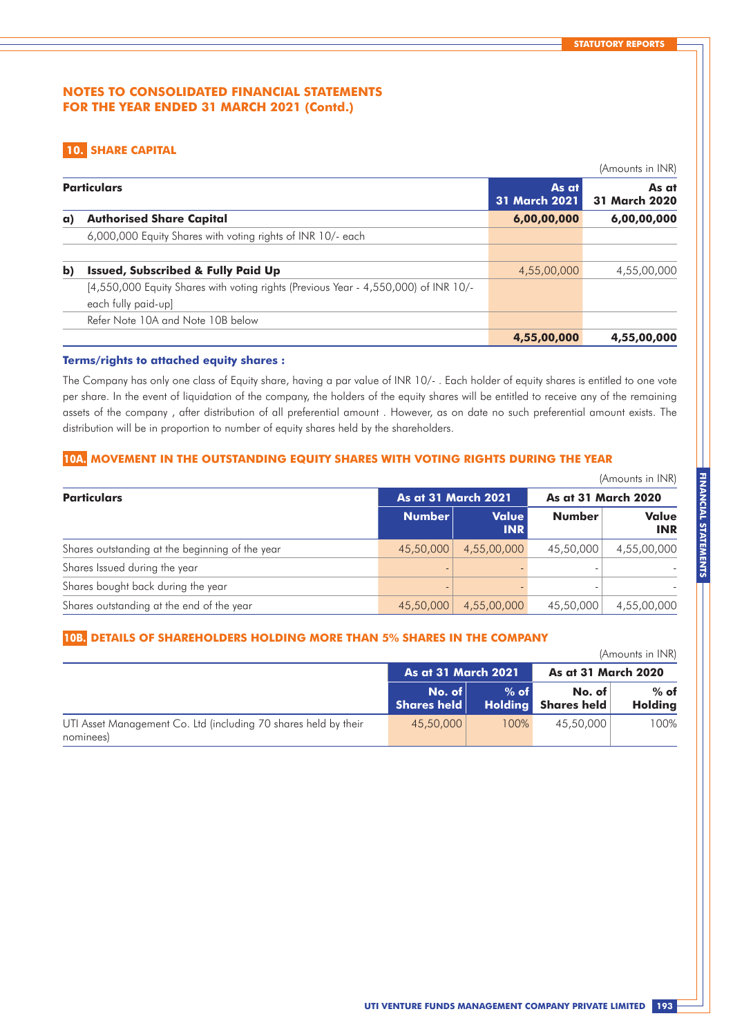# **10. SHARE CAPITAL**

|    |                                                                                                            |                               | (Amounts in INR)              |
|----|------------------------------------------------------------------------------------------------------------|-------------------------------|-------------------------------|
|    | <b>Particulars</b>                                                                                         | As at<br><b>31 March 2021</b> | As at<br><b>31 March 2020</b> |
| a) | <b>Authorised Share Capital</b>                                                                            | 6,00,00,000                   | 6,00,00,000                   |
|    | 6,000,000 Equity Shares with voting rights of INR 10/- each                                                |                               |                               |
| b) | <b>Issued, Subscribed &amp; Fully Paid Up</b>                                                              | 4,55,00,000                   | 4,55,00,000                   |
|    | [4,550,000 Equity Shares with voting rights (Previous Year - 4,550,000) of INR 10/-<br>each fully paid-up] |                               |                               |
|    | Refer Note 10A and Note 10B below                                                                          |                               |                               |
|    |                                                                                                            | 4,55,00,000                   | 4,55,00,000                   |

# **Terms/rights to attached equity shares :**

The Company has only one class of Equity share, having a par value of INR 10/- . Each holder of equity shares is entitled to one vote per share. In the event of liquidation of the company, the holders of the equity shares will be entitled to receive any of the remaining assets of the company , after distribution of all preferential amount . However, as on date no such preferential amount exists. The distribution will be in proportion to number of equity shares held by the shareholders.

# **10A. MOVEMENT IN THE OUTSTANDING EQUITY SHARES WITH VOTING RIGHTS DURING THE YEAR**

|                                                 |               |                            |               | (Amounts in IIVK)          |  |
|-------------------------------------------------|---------------|----------------------------|---------------|----------------------------|--|
| <b>Particulars</b>                              |               | <b>As at 31 March 2021</b> |               | As at 31 March 2020        |  |
|                                                 | <b>Number</b> | <b>Value</b><br><b>INR</b> | <b>Number</b> | <b>Value</b><br><b>INR</b> |  |
| Shares outstanding at the beginning of the year | 45,50,000     | 4,55,00,000                | 45,50,000     | 4,55,00,000                |  |
| Shares Issued during the year                   |               |                            |               |                            |  |
| Shares bought back during the year              |               |                            |               |                            |  |
| Shares outstanding at the end of the year       | 45,50,000     | 4,55,00,000                | 45,50,000     | 4,55,00,000                |  |

# **10B. DETAILS OF SHAREHOLDERS HOLDING MORE THAN 5% SHARES IN THE COMPANY**

|                                                                              |                                            |            |                                      | (Amounts in INR)         |
|------------------------------------------------------------------------------|--------------------------------------------|------------|--------------------------------------|--------------------------|
|                                                                              | As at 31 March 2021<br>As at 31 March 2020 |            |                                      |                          |
|                                                                              | No. of<br><b>Shares held</b>               | $%$ of $ $ | No. of<br><b>Holding</b> Shares held | $%$ of<br><b>Holding</b> |
| UTI Asset Management Co. Ltd (including 70 shares held by their<br>nominees) | 45,50,000                                  | 100%       | 45,50,000                            | 100%                     |

 $\lambda$   $\lambda$   $\lambda$   $\lambda$   $\lambda$   $\lambda$   $\lambda$   $\lambda$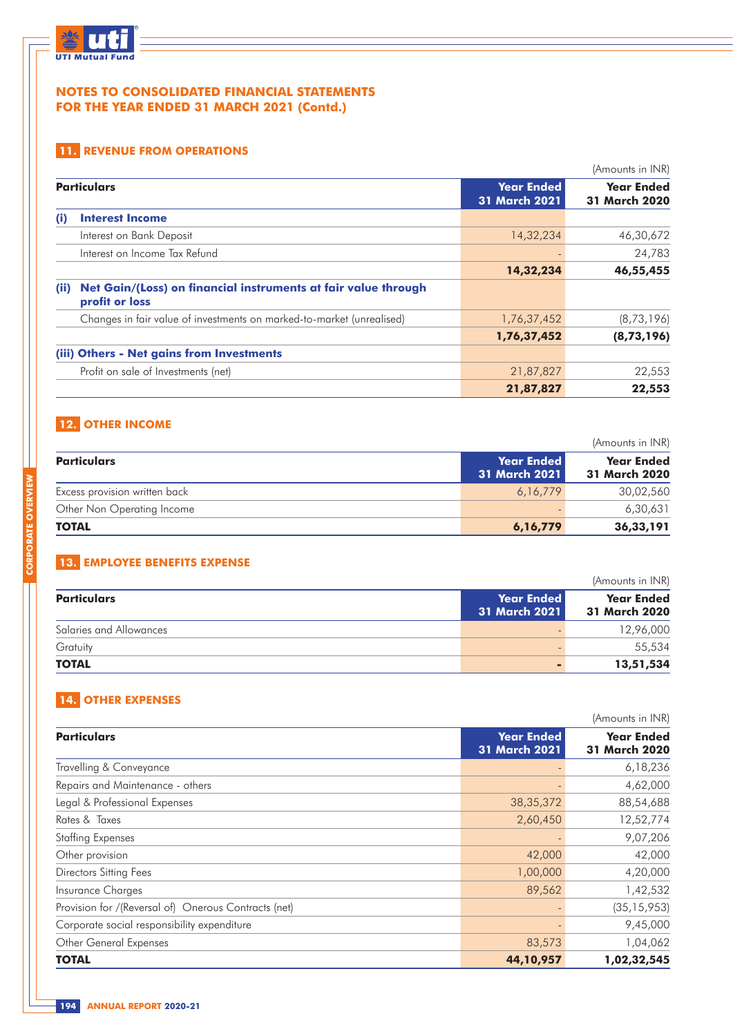

# **11. REVENUE FROM OPERATIONS**

|      |                                                                                  |                                           | (Amounts in INR)                          |
|------|----------------------------------------------------------------------------------|-------------------------------------------|-------------------------------------------|
|      | <b>Particulars</b>                                                               | <b>Year Ended</b><br><b>31 March 2021</b> | <b>Year Ended</b><br><b>31 March 2020</b> |
| (i)  | <b>Interest Income</b>                                                           |                                           |                                           |
|      | Interest on Bank Deposit                                                         | 14,32,234                                 | 46,30,672                                 |
|      | Interest on Income Tax Refund                                                    |                                           | 24,783                                    |
|      |                                                                                  | 14,32,234                                 | 46,55,455                                 |
| (ii) | Net Gain/(Loss) on financial instruments at fair value through<br>profit or loss |                                           |                                           |
|      | Changes in fair value of investments on marked-to-market (unrealised)            | 1,76,37,452                               | (8, 73, 196)                              |
|      |                                                                                  | 1,76,37,452                               | (8, 73, 196)                              |
|      | (iii) Others - Net gains from Investments                                        |                                           |                                           |
|      | Profit on sale of Investments (net)                                              | 21,87,827                                 | 22,553                                    |
|      |                                                                                  | 21,87,827                                 | 22,553                                    |

# **12. OTHER INCOME**

|                               |                                    | (Amounts in INR)                          |
|-------------------------------|------------------------------------|-------------------------------------------|
| <b>Particulars</b>            | <b>Year Ended</b><br>31 March 2021 | <b>Year Ended</b><br><b>31 March 2020</b> |
| Excess provision written back | 6,16,779                           | 30,02,560                                 |
| Other Non Operating Income    |                                    | 6,30,631                                  |
| <b>TOTAL</b>                  | 6,16,779                           | 36,33,191                                 |

# **13. EMPLOYEE BENEFITS EXPENSE**

|                         |                                    | (Amounts in INR)                          |
|-------------------------|------------------------------------|-------------------------------------------|
| <b>Particulars</b>      | <b>Year Ended</b><br>31 March 2021 | <b>Year Ended</b><br><b>31 March 2020</b> |
| Salaries and Allowances |                                    | 12,96,000                                 |
| Gratuity                |                                    | 55,534                                    |
| <b>TOTAL</b>            |                                    | 13,51,534                                 |

# **14. OTHER EXPENSES**

|                                                      |                                           | (Amounts in INR)                          |
|------------------------------------------------------|-------------------------------------------|-------------------------------------------|
| <b>Particulars</b>                                   | <b>Year Ended</b><br><b>31 March 2021</b> | <b>Year Ended</b><br><b>31 March 2020</b> |
| Travelling & Conveyance                              |                                           | 6,18,236                                  |
| Repairs and Maintenance - others                     |                                           | 4,62,000                                  |
| Legal & Professional Expenses                        | 38, 35, 372                               | 88,54,688                                 |
| Rates & Taxes                                        | 2,60,450                                  | 12,52,774                                 |
| <b>Staffing Expenses</b>                             |                                           | 9,07,206                                  |
| Other provision                                      | 42,000                                    | 42,000                                    |
| <b>Directors Sitting Fees</b>                        | 1,00,000                                  | 4,20,000                                  |
| Insurance Charges                                    | 89,562                                    | 1,42,532                                  |
| Provision for /(Reversal of) Onerous Contracts (net) |                                           | (35, 15, 953)                             |
| Corporate social responsibility expenditure          |                                           | 9,45,000                                  |
| <b>Other General Expenses</b>                        | 83,573                                    | 1,04,062                                  |
| <b>TOTAL</b>                                         | 44,10,957                                 | 1,02,32,545                               |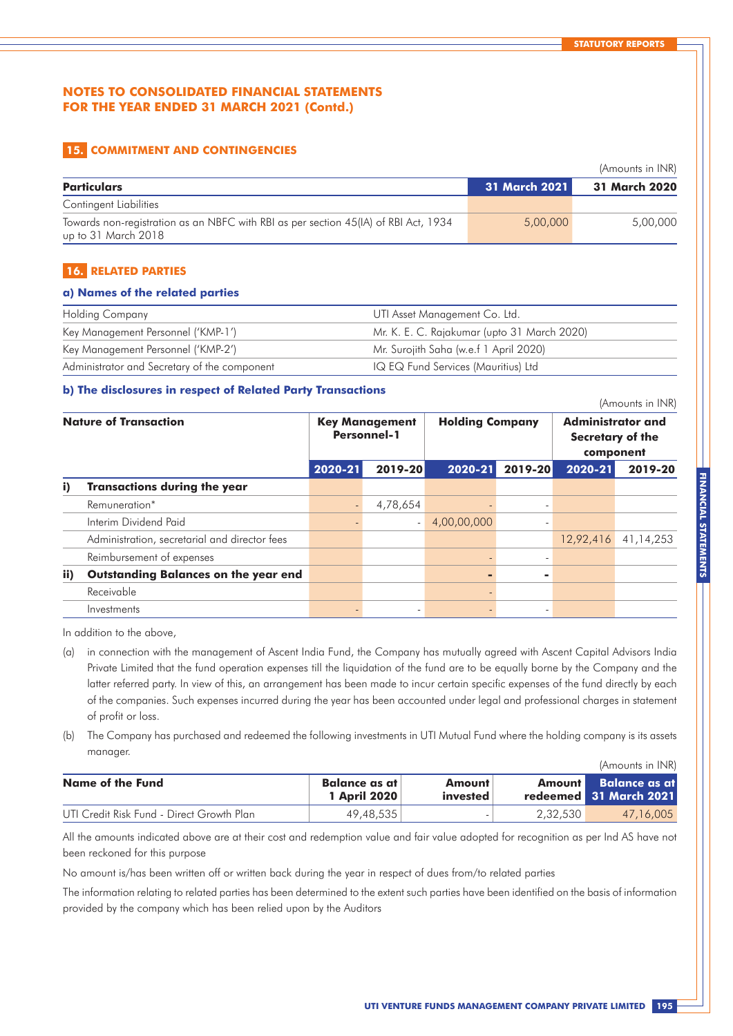# **15. COMMITMENT AND CONTINGENCIES**

|                                                                                                            |               | (Amounts in INR) |
|------------------------------------------------------------------------------------------------------------|---------------|------------------|
| <b>Particulars</b>                                                                                         | 31 March 2021 | 31 March 2020    |
| Contingent Liabilities                                                                                     |               |                  |
| Towards non-registration as an NBFC with RBI as per section 45(IA) of RBI Act, 1934<br>up to 31 March 2018 | 5,00,000      | 5,00,000         |

# **16. RELATED PARTIES**

#### **a) Names of the related parties**

| Holding Company                              | UTI Asset Management Co. Ltd.               |
|----------------------------------------------|---------------------------------------------|
| Key Management Personnel ('KMP-1')           | Mr. K. E. C. Rajakumar (upto 31 March 2020) |
| Key Management Personnel ('KMP-2')           | Mr. Surojith Saha (w.e.f 1 April 2020)      |
| Administrator and Secretary of the component | IQ EQ Fund Services (Mauritius) Ltd         |

#### **b) The disclosures in respect of Related Party Transactions**

| <b>Nature of Transaction</b> |                                               | <b>Key Management</b><br><b>Personnel-1</b> |          | <b>Holding Company</b> |         | <b>Administrator and</b><br><b>Secretary of the</b><br>component |             |
|------------------------------|-----------------------------------------------|---------------------------------------------|----------|------------------------|---------|------------------------------------------------------------------|-------------|
|                              |                                               | 2020-21                                     | 2019-20  | $2020 - 21$            | 2019-20 | 2020-21                                                          | 2019-20     |
| i)                           | <b>Transactions during the year</b>           |                                             |          |                        |         |                                                                  |             |
|                              | Remuneration*                                 |                                             | 4,78,654 |                        |         |                                                                  |             |
|                              | Interim Dividend Paid                         |                                             |          | 4,00,00,000            |         |                                                                  |             |
|                              | Administration, secretarial and director fees |                                             |          |                        |         | 12,92,416                                                        | 41, 14, 253 |
|                              | Reimbursement of expenses                     |                                             |          |                        |         |                                                                  |             |
| ii)                          | Outstanding Balances on the year end          |                                             |          |                        | ۰       |                                                                  |             |
|                              | Receivable                                    |                                             |          |                        |         |                                                                  |             |
|                              | Investments                                   |                                             |          |                        |         |                                                                  |             |

In addition to the above,

- (a) in connection with the management of Ascent India Fund, the Company has mutually agreed with Ascent Capital Advisors India Private Limited that the fund operation expenses till the liquidation of the fund are to be equally borne by the Company and the latter referred party. In view of this, an arrangement has been made to incur certain specific expenses of the fund directly by each of the companies. Such expenses incurred during the year has been accounted under legal and professional charges in statement of profit or loss.
- (b) The Company has purchased and redeemed the following investments in UTI Mutual Fund where the holding company is its assets manager. (Amounts in INR)

|                                           |                                 |                    |          | $\sqrt{2}$                                     |
|-------------------------------------------|---------------------------------|--------------------|----------|------------------------------------------------|
| Name of the Fund                          | Balance as at l<br>1 April 2020 | Amount<br>invested |          | Amount Balance as at<br>redeemed 31 March 2021 |
| UTI Credit Risk Fund - Direct Growth Plan | 49,48,535                       |                    | 2,32,530 | 47, 16, 005                                    |

All the amounts indicated above are at their cost and redemption value and fair value adopted for recognition as per Ind AS have not been reckoned for this purpose

No amount is/has been written off or written back during the year in respect of dues from/to related parties

The information relating to related parties has been determined to the extent such parties have been identified on the basis of information provided by the company which has been relied upon by the Auditors

 $(1)$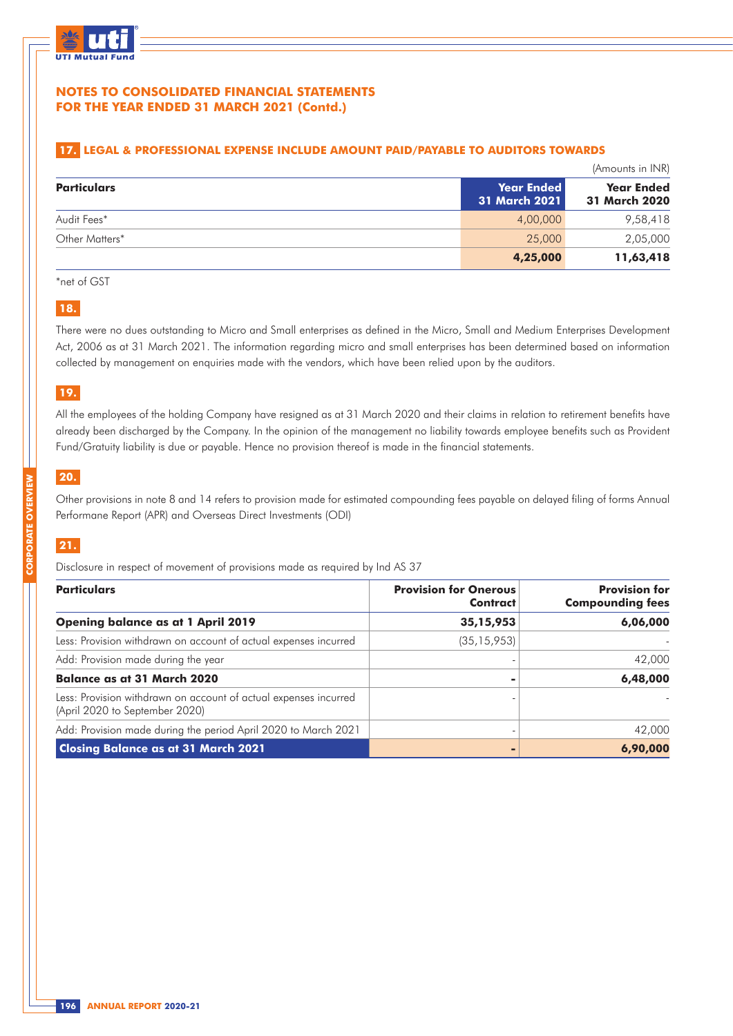

# **17. LEGAL & PROFESSIONAL EXPENSE INCLUDE AMOUNT PAID/PAYABLE TO AUDITORS TOWARDS**

|                    |                                    | (Amounts in INR)                          |  |
|--------------------|------------------------------------|-------------------------------------------|--|
| <b>Particulars</b> | <b>Year Ended</b><br>31 March 2021 | <b>Year Ended</b><br><b>31 March 2020</b> |  |
| Audit Fees*        | 4,00,000                           | 9,58,418                                  |  |
| Other Matters*     | 25,000                             | 2,05,000                                  |  |
|                    | 4,25,000                           | 11,63,418                                 |  |

### \*net of GST

# **18.**

There were no dues outstanding to Micro and Small enterprises as defined in the Micro, Small and Medium Enterprises Development Act, 2006 as at 31 March 2021. The information regarding micro and small enterprises has been determined based on information collected by management on enquiries made with the vendors, which have been relied upon by the auditors.

# **19.**

All the employees of the holding Company have resigned as at 31 March 2020 and their claims in relation to retirement benefits have already been discharged by the Company. In the opinion of the management no liability towards employee benefits such as Provident Fund/Gratuity liability is due or payable. Hence no provision thereof is made in the financial statements.

# **20.**

Other provisions in note 8 and 14 refers to provision made for estimated compounding fees payable on delayed filing of forms Annual Performane Report (APR) and Overseas Direct Investments (ODI)

# **21.**

**CORPORATE OVERVIEW**

CORPORATE OVERVIEW

Disclosure in respect of movement of provisions made as required by Ind AS 37

| <b>Particulars</b>                                                                                 | <b>Provision for Onerous</b><br>Contract | <b>Provision for</b><br><b>Compounding fees</b> |
|----------------------------------------------------------------------------------------------------|------------------------------------------|-------------------------------------------------|
| <b>Opening balance as at 1 April 2019</b>                                                          | 35,15,953                                | 6,06,000                                        |
| Less: Provision withdrawn on account of actual expenses incurred                                   | (35, 15, 953)                            |                                                 |
| Add: Provision made during the year                                                                |                                          | 42,000                                          |
| <b>Balance as at 31 March 2020</b>                                                                 |                                          | 6,48,000                                        |
| Less: Provision withdrawn on account of actual expenses incurred<br>(April 2020 to September 2020) |                                          |                                                 |
| Add: Provision made during the period April 2020 to March 2021                                     |                                          | 42,000                                          |
| <b>Closing Balance as at 31 March 2021</b>                                                         |                                          | 6,90,000                                        |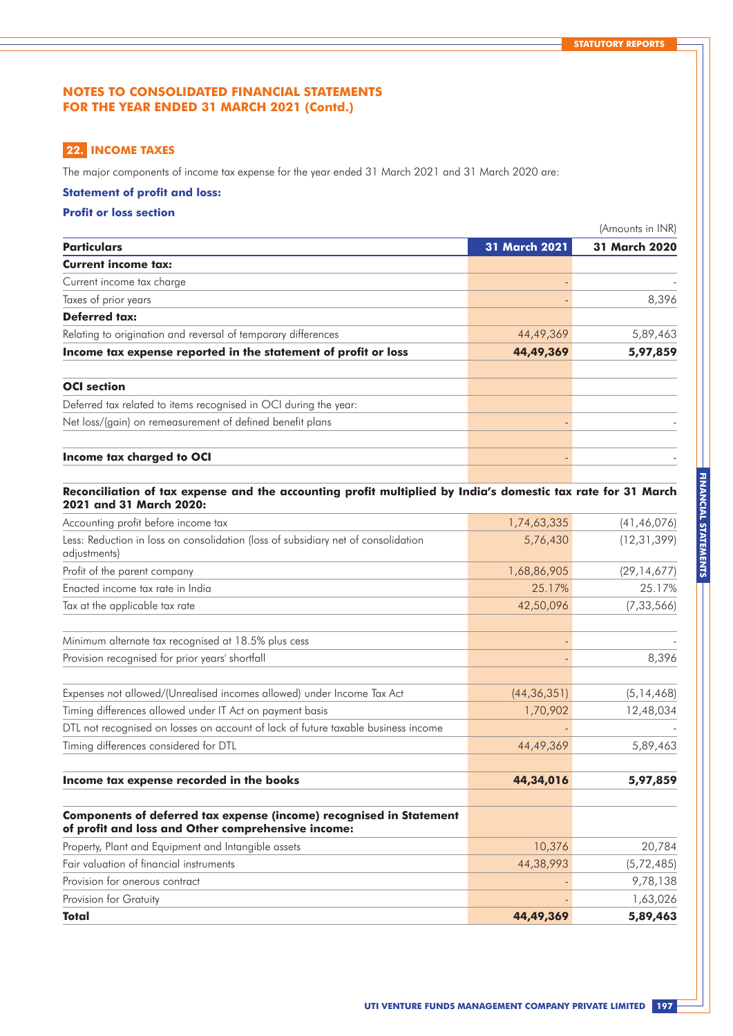# **22. INCOME TAXES**

The major components of income tax expense for the year ended 31 March 2021 and 31 March 2020 are:

#### **Statement of profit and loss:**

# **Profit or loss section**

|                                                                  |                      | (Amounts in INR)     |
|------------------------------------------------------------------|----------------------|----------------------|
| <b>Particulars</b>                                               | <b>31 March 2021</b> | <b>31 March 2020</b> |
| <b>Current income tax:</b>                                       |                      |                      |
| Current income tax charge                                        |                      |                      |
| Taxes of prior years                                             |                      | 8,396                |
| <b>Deferred tax:</b>                                             |                      |                      |
| Relating to origination and reversal of temporary differences    | 44,49,369            | 5,89,463             |
| Income tax expense reported in the statement of profit or loss   | 44,49,369            | 5,97,859             |
| <b>OCI</b> section                                               |                      |                      |
| Deferred tax related to items recognised in OCI during the year: |                      |                      |
| Net loss/(gain) on remeasurement of defined benefit plans        |                      |                      |
| Income tax charged to OCI                                        |                      |                      |

# **Reconciliation of tax expense and the accounting profit multiplied by India's domestic tax rate for 31 March 2021 and 31 March 2020:**

| Accounting profit before income tax                                                                                       | 1,74,63,335   | (41, 46, 076) |
|---------------------------------------------------------------------------------------------------------------------------|---------------|---------------|
| Less: Reduction in loss on consolidation (loss of subsidiary net of consolidation<br>adjustments)                         | 5,76,430      | (12, 31, 399) |
| Profit of the parent company                                                                                              | 1,68,86,905   | (29, 14, 677) |
| Enacted income tax rate in India                                                                                          | 25.17%        | 25.17%        |
| Tax at the applicable tax rate                                                                                            | 42,50,096     | (7, 33, 566)  |
| Minimum alternate tax recognised at 18.5% plus cess                                                                       |               |               |
| Provision recognised for prior years' shortfall                                                                           |               | 8,396         |
| Expenses not allowed/(Unrealised incomes allowed) under Income Tax Act                                                    | (44, 36, 351) | (5, 14, 468)  |
| Timing differences allowed under IT Act on payment basis                                                                  | 1,70,902      | 12,48,034     |
| DTL not recognised on losses on account of lack of future taxable business income                                         |               |               |
| Timing differences considered for DTL                                                                                     | 44,49,369     | 5,89,463      |
| Income tax expense recorded in the books                                                                                  | 44,34,016     | 5,97,859      |
| Components of deferred tax expense (income) recognised in Statement<br>of profit and loss and Other comprehensive income: |               |               |
| Property, Plant and Equipment and Intangible assets                                                                       | 10,376        | 20,784        |
| Fair valuation of financial instruments                                                                                   | 44,38,993     | (5, 72, 485)  |
| Provision for onerous contract                                                                                            |               | 9,78,138      |
| Provision for Gratuity                                                                                                    |               | 1,63,026      |
| Total                                                                                                                     | 44,49,369     | 5,89,463      |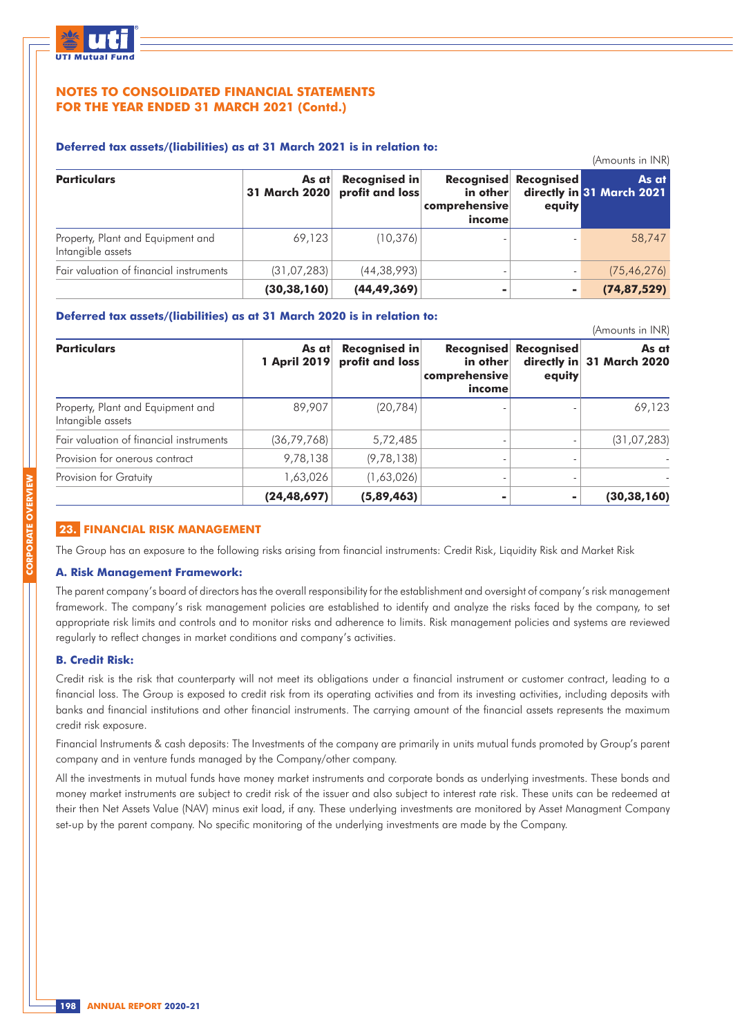

#### **Deferred tax assets/(liabilities) as at 31 March 2021 is in relation to:**

|                                                        |                        |                                         |                                     |                                        | (Amounts in INR)                   |
|--------------------------------------------------------|------------------------|-----------------------------------------|-------------------------------------|----------------------------------------|------------------------------------|
| <b>Particulars</b>                                     | As at<br>31 March 2020 | <b>Recognised in</b><br>profit and loss | in other<br>comprehensive<br>income | <b>Recognised Recognised</b><br>equity | As at<br>directly in 31 March 2021 |
| Property, Plant and Equipment and<br>Intangible assets | 69,123                 | (10, 376)                               |                                     |                                        | 58,747                             |
| Fair valuation of financial instruments                | (31, 07, 283)          | (44, 38, 993)                           |                                     |                                        | (75, 46, 276)                      |
|                                                        | (30, 38, 160)          | (44, 49, 369)                           |                                     |                                        | (74, 87, 529)                      |

#### **Deferred tax assets/(liabilities) as at 31 March 2020 is in relation to:**

|                                                        |                       |                                         |                                     |                                        | (Amounts in INR)                   |
|--------------------------------------------------------|-----------------------|-----------------------------------------|-------------------------------------|----------------------------------------|------------------------------------|
| <b>Particulars</b>                                     | As at<br>1 April 2019 | <b>Recognised in</b><br>profit and loss | in other<br>comprehensive<br>income | <b>Recognised Recognised</b><br>equity | As at<br>directly in 31 March 2020 |
| Property, Plant and Equipment and<br>Intangible assets | 89,907                | (20, 784)                               |                                     |                                        | 69,123                             |
| Fair valuation of financial instruments                | (36,79,768)           | 5,72,485                                | $\overline{a}$                      |                                        | (31, 07, 283)                      |
| Provision for onerous contract                         | 9,78,138              | (9, 78, 138)                            |                                     |                                        |                                    |
| Provision for Gratuity                                 | 1,63,026              | (1,63,026)                              |                                     |                                        |                                    |
|                                                        | (24, 48, 697)         | (5,89,463)                              | ۰                                   |                                        | (30, 38, 160)                      |

# **23. FINANCIAL RISK MANAGEMENT**

The Group has an exposure to the following risks arising from financial instruments: Credit Risk, Liquidity Risk and Market Risk

#### **A. Risk Management Framework:**

The parent company's board of directors has the overall responsibility for the establishment and oversight of company's risk management framework. The company's risk management policies are established to identify and analyze the risks faced by the company, to set appropriate risk limits and controls and to monitor risks and adherence to limits. Risk management policies and systems are reviewed regularly to reflect changes in market conditions and company's activities.

### **B. Credit Risk:**

Credit risk is the risk that counterparty will not meet its obligations under a financial instrument or customer contract, leading to a financial loss. The Group is exposed to credit risk from its operating activities and from its investing activities, including deposits with banks and financial institutions and other financial instruments. The carrying amount of the financial assets represents the maximum credit risk exposure.

Financial Instruments & cash deposits: The Investments of the company are primarily in units mutual funds promoted by Group's parent company and in venture funds managed by the Company/other company.

All the investments in mutual funds have money market instruments and corporate bonds as underlying investments. These bonds and money market instruments are subject to credit risk of the issuer and also subject to interest rate risk. These units can be redeemed at their then Net Assets Value (NAV) minus exit load, if any. These underlying investments are monitored by Asset Managment Company set-up by the parent company. No specific monitoring of the underlying investments are made by the Company.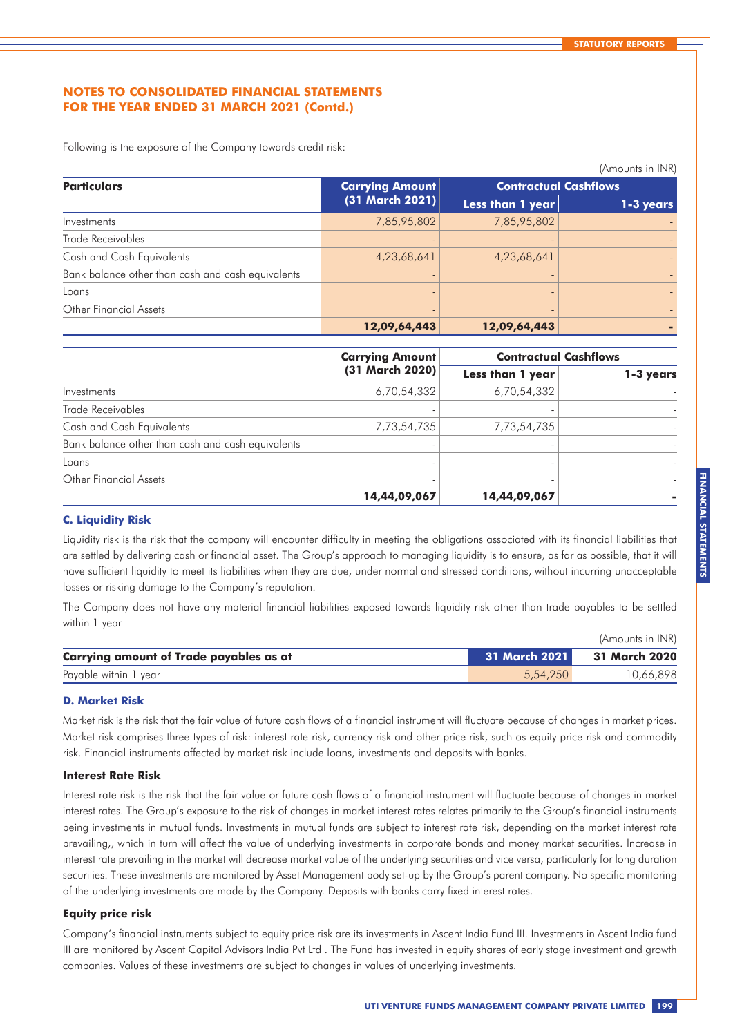Following is the exposure of the Company towards credit risk:

|                                                   |                        | (Amounts in INR)             |           |  |  |
|---------------------------------------------------|------------------------|------------------------------|-----------|--|--|
| <b>Particulars</b>                                | <b>Carrying Amount</b> | <b>Contractual Cashflows</b> |           |  |  |
|                                                   | (31 March 2021)        | Less than 1 year             | 1-3 years |  |  |
| Investments                                       | 7,85,95,802            | 7,85,95,802                  |           |  |  |
| Trade Receivables                                 |                        |                              |           |  |  |
| Cash and Cash Equivalents                         | 4,23,68,641            | 4,23,68,641                  |           |  |  |
| Bank balance other than cash and cash equivalents |                        |                              |           |  |  |
| Loans                                             |                        |                              |           |  |  |
| <b>Other Financial Assets</b>                     |                        |                              |           |  |  |
|                                                   | 12,09,64,443           | 12,09,64,443                 |           |  |  |

|                                                   | <b>Carrying Amount</b> | <b>Contractual Cashflows</b> |           |
|---------------------------------------------------|------------------------|------------------------------|-----------|
|                                                   | (31 March 2020)        | Less than 1 year             | 1-3 years |
| Investments                                       | 6,70,54,332            | 6,70,54,332                  |           |
| Trade Receivables                                 |                        |                              |           |
| Cash and Cash Equivalents                         | 7,73,54,735            | 7,73,54,735                  |           |
| Bank balance other than cash and cash equivalents |                        |                              |           |
| Loans                                             |                        |                              |           |
| <b>Other Financial Assets</b>                     |                        |                              |           |
|                                                   | 14,44,09,067           | 14,44,09,067                 |           |

#### **C. Liquidity Risk**

Liquidity risk is the risk that the company will encounter difficulty in meeting the obligations associated with its financial liabilities that are settled by delivering cash or financial asset. The Group's approach to managing liquidity is to ensure, as far as possible, that it will have sufficient liquidity to meet its liabilities when they are due, under normal and stressed conditions, without incurring unacceptable losses or risking damage to the Company's reputation.

The Company does not have any material financial liabilities exposed towards liquidity risk other than trade payables to be settled within 1 year

|                                         | (Amounts in INR) |               |  |  |
|-----------------------------------------|------------------|---------------|--|--|
| Carrying amount of Trade payables as at | 31 March 2021    | 31 March 2020 |  |  |
| Payable within 1 year                   | 5.54.250         | 10,66,898     |  |  |

#### **D. Market Risk**

Market risk is the risk that the fair value of future cash flows of a financial instrument will fluctuate because of changes in market prices. Market risk comprises three types of risk: interest rate risk, currency risk and other price risk, such as equity price risk and commodity risk. Financial instruments affected by market risk include loans, investments and deposits with banks.

#### **Interest Rate Risk**

Interest rate risk is the risk that the fair value or future cash flows of a financial instrument will fluctuate because of changes in market interest rates. The Group's exposure to the risk of changes in market interest rates relates primarily to the Group's financial instruments being investments in mutual funds. Investments in mutual funds are subject to interest rate risk, depending on the market interest rate prevailing,, which in turn will affect the value of underlying investments in corporate bonds and money market securities. Increase in interest rate prevailing in the market will decrease market value of the underlying securities and vice versa, particularly for long duration securities. These investments are monitored by Asset Management body set-up by the Group's parent company. No specific monitoring of the underlying investments are made by the Company. Deposits with banks carry fixed interest rates.

#### **Equity price risk**

Company's financial instruments subject to equity price risk are its investments in Ascent India Fund III. Investments in Ascent India fund III are monitored by Ascent Capital Advisors India Pvt Ltd . The Fund has invested in equity shares of early stage investment and growth companies. Values of these investments are subject to changes in values of underlying investments.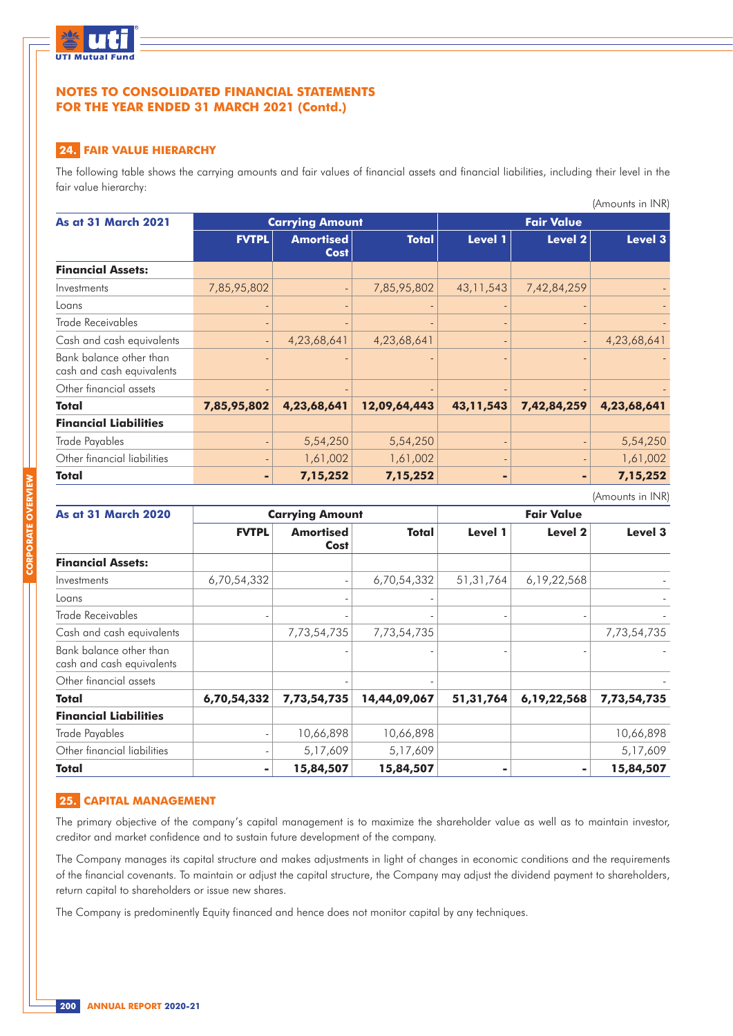

# **24. FAIR VALUE HIERARCHY**

The following table shows the carrying amounts and fair values of financial assets and financial liabilities, including their level in the fair value hierarchy:

| <b>As at 31 March 2021</b>                           |              | <b>Carrying Amount</b>          |              | <b>Fair Value</b> |                          |             |
|------------------------------------------------------|--------------|---------------------------------|--------------|-------------------|--------------------------|-------------|
|                                                      | <b>FVTPL</b> | <b>Amortised</b><br><b>Cost</b> | <b>Total</b> | Level 1           | Level 2                  | Level 3     |
| <b>Financial Assets:</b>                             |              |                                 |              |                   |                          |             |
| Investments                                          | 7,85,95,802  |                                 | 7,85,95,802  | 43, 11, 543       | 7,42,84,259              |             |
| Loans                                                |              |                                 |              |                   |                          |             |
| <b>Trade Receivables</b>                             |              |                                 |              |                   |                          |             |
| Cash and cash equivalents                            |              | 4,23,68,641                     | 4,23,68,641  |                   | $\overline{\phantom{m}}$ | 4,23,68,641 |
| Bank balance other than<br>cash and cash equivalents |              |                                 |              |                   |                          |             |
| Other financial assets                               |              |                                 |              |                   |                          |             |
| Total                                                | 7,85,95,802  | 4,23,68,641                     | 12,09,64,443 | 43,11,543         | 7,42,84,259              | 4,23,68,641 |
| <b>Financial Liabilities</b>                         |              |                                 |              |                   |                          |             |
| Trade Payables                                       |              | 5,54,250                        | 5,54,250     |                   |                          | 5,54,250    |
| Other financial liabilities                          |              | 1,61,002                        | 1,61,002     |                   |                          | 1,61,002    |
| Total                                                |              | 7,15,252                        | 7,15,252     |                   | ٠                        | 7,15,252    |

| <b>As at 31 March 2020</b>                           | <b>Carrying Amount</b> |                                 |              | <b>Fair Value</b> |                |             |  |
|------------------------------------------------------|------------------------|---------------------------------|--------------|-------------------|----------------|-------------|--|
|                                                      | <b>FVTPL</b>           | <b>Amortised</b><br><b>Cost</b> | <b>Total</b> | Level 1           | Level 2        | Level 3     |  |
| <b>Financial Assets:</b>                             |                        |                                 |              |                   |                |             |  |
| Investments                                          | 6,70,54,332            |                                 | 6,70,54,332  | 51,31,764         | 6, 19, 22, 568 |             |  |
| Loans                                                |                        |                                 |              |                   |                |             |  |
| Trade Receivables                                    |                        |                                 |              |                   |                |             |  |
| Cash and cash equivalents                            |                        | 7,73,54,735                     | 7,73,54,735  |                   |                | 7,73,54,735 |  |
| Bank balance other than<br>cash and cash equivalents |                        |                                 |              |                   |                |             |  |
| Other financial assets                               |                        |                                 |              |                   |                |             |  |
| Total                                                | 6,70,54,332            | 7,73,54,735                     | 14,44,09,067 | 51, 31, 764       | 6,19,22,568    | 7,73,54,735 |  |
| <b>Financial Liabilities</b>                         |                        |                                 |              |                   |                |             |  |
| Trade Payables                                       |                        | 10,66,898                       | 10,66,898    |                   |                | 10,66,898   |  |
| Other financial liabilities                          |                        | 5,17,609                        | 5,17,609     |                   |                | 5,17,609    |  |
| Total                                                | ۰                      | 15,84,507                       | 15,84,507    | ٠                 | ٠              | 15,84,507   |  |

# **25. CAPITAL MANAGEMENT**

The primary objective of the company's capital management is to maximize the shareholder value as well as to maintain investor, creditor and market confidence and to sustain future development of the company.

The Company manages its capital structure and makes adjustments in light of changes in economic conditions and the requirements of the financial covenants. To maintain or adjust the capital structure, the Company may adjust the dividend payment to shareholders, return capital to shareholders or issue new shares.

The Company is predominently Equity financed and hence does not monitor capital by any techniques.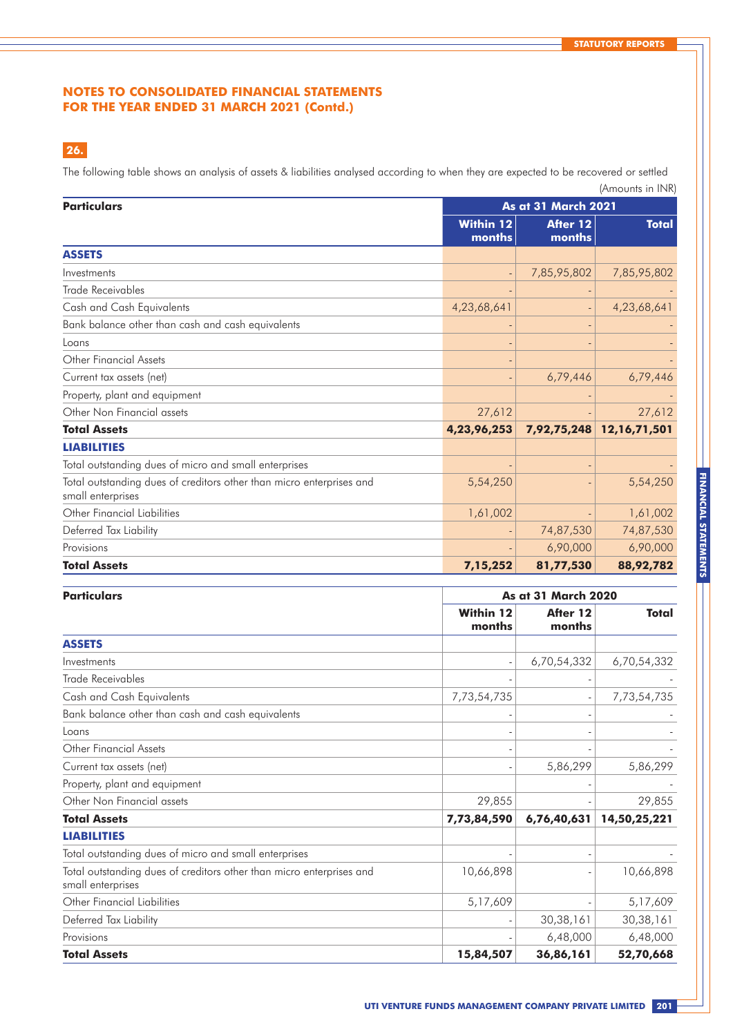# **26.**

The following table shows an analysis of assets & liabilities analysed according to when they are expected to be recovered or settled (Amounts in INR)

| <b>Particulars</b>                                                                        |                            | ויי וווי טוווטטוווי ק<br><b>As at 31 March 2021</b> |              |  |  |
|-------------------------------------------------------------------------------------------|----------------------------|-----------------------------------------------------|--------------|--|--|
|                                                                                           | <b>Within 12</b><br>months | After 12<br>months                                  | <b>Total</b> |  |  |
| <b>ASSETS</b>                                                                             |                            |                                                     |              |  |  |
| Investments                                                                               |                            | 7,85,95,802                                         | 7,85,95,802  |  |  |
| <b>Trade Receivables</b>                                                                  |                            |                                                     |              |  |  |
| Cash and Cash Equivalents                                                                 | 4,23,68,641                |                                                     | 4,23,68,641  |  |  |
| Bank balance other than cash and cash equivalents                                         |                            |                                                     |              |  |  |
| Loans                                                                                     |                            |                                                     |              |  |  |
| <b>Other Financial Assets</b>                                                             |                            |                                                     |              |  |  |
| Current tax assets (net)                                                                  |                            | 6,79,446                                            | 6,79,446     |  |  |
| Property, plant and equipment                                                             |                            |                                                     |              |  |  |
| Other Non Financial assets                                                                | 27,612                     |                                                     | 27,612       |  |  |
| <b>Total Assets</b>                                                                       | 4,23,96,253                | 7,92,75,248                                         | 12,16,71,501 |  |  |
| <b>LIABILITIES</b>                                                                        |                            |                                                     |              |  |  |
| Total outstanding dues of micro and small enterprises                                     |                            |                                                     |              |  |  |
| Total outstanding dues of creditors other than micro enterprises and<br>small enterprises | 5,54,250                   |                                                     | 5,54,250     |  |  |
| Other Financial Liabilities                                                               | 1,61,002                   |                                                     | 1,61,002     |  |  |
| Deferred Tax Liability                                                                    | $\overline{\phantom{a}}$   | 74,87,530                                           | 74,87,530    |  |  |
| Provisions                                                                                |                            | 6,90,000                                            | 6,90,000     |  |  |
| <b>Total Assets</b>                                                                       | 7,15,252                   | 81,77,530                                           | 88,92,782    |  |  |

| <b>Particulars</b>                                                                        | As at 31 March 2020        |                    |              |  |  |
|-------------------------------------------------------------------------------------------|----------------------------|--------------------|--------------|--|--|
|                                                                                           | <b>Within 12</b><br>months | After 12<br>months | Total        |  |  |
| <b>ASSETS</b>                                                                             |                            |                    |              |  |  |
| Investments                                                                               | $\overline{\phantom{a}}$   | 6,70,54,332        | 6,70,54,332  |  |  |
| <b>Trade Receivables</b>                                                                  |                            |                    |              |  |  |
| Cash and Cash Equivalents                                                                 | 7,73,54,735                |                    | 7,73,54,735  |  |  |
| Bank balance other than cash and cash equivalents                                         |                            |                    |              |  |  |
| Loans                                                                                     |                            |                    |              |  |  |
| <b>Other Financial Assets</b>                                                             |                            |                    |              |  |  |
| Current tax assets (net)                                                                  |                            | 5,86,299           | 5,86,299     |  |  |
| Property, plant and equipment                                                             |                            |                    |              |  |  |
| Other Non Financial assets                                                                | 29,855                     |                    | 29,855       |  |  |
| <b>Total Assets</b>                                                                       | 7,73,84,590                | 6,76,40,631        | 14,50,25,221 |  |  |
| <b>LIABILITIES</b>                                                                        |                            |                    |              |  |  |
| Total outstanding dues of micro and small enterprises                                     |                            |                    |              |  |  |
| Total outstanding dues of creditors other than micro enterprises and<br>small enterprises | 10,66,898                  |                    | 10,66,898    |  |  |
| Other Financial Liabilities                                                               | 5,17,609                   |                    | 5,17,609     |  |  |
| Deferred Tax Liability                                                                    |                            | 30,38,161          | 30,38,161    |  |  |
| Provisions                                                                                |                            | 6,48,000           | 6,48,000     |  |  |
| <b>Total Assets</b>                                                                       | 15,84,507                  | 36,86,161          | 52,70,668    |  |  |